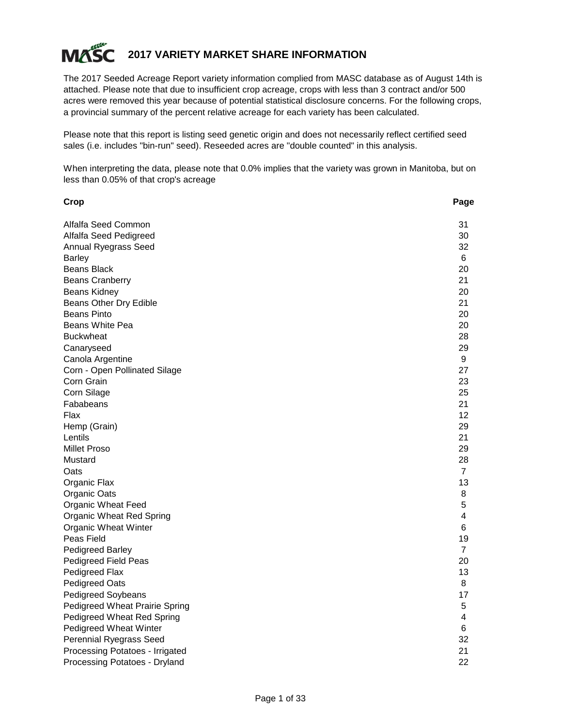

# **2017 VARIETY MARKET SHARE INFORMATION**

The 2017 Seeded Acreage Report variety information complied from MASC database as of August 14th is attached. Please note that due to insufficient crop acreage, crops with less than 3 contract and/or 500 acres were removed this year because of potential statistical disclosure concerns. For the following crops, a provincial summary of the percent relative acreage for each variety has been calculated.

Please note that this report is listing seed genetic origin and does not necessarily reflect certified seed sales (i.e. includes "bin-run" seed). Reseeded acres are "double counted" in this analysis.

When interpreting the data, please note that 0.0% implies that the variety was grown in Manitoba, but on less than 0.05% of that crop's acreage

| Crop                                  | Page           |
|---------------------------------------|----------------|
| Alfalfa Seed Common                   | 31             |
| Alfalfa Seed Pedigreed                | 30             |
| Annual Ryegrass Seed                  | 32             |
| <b>Barley</b>                         | 6              |
| <b>Beans Black</b>                    | 20             |
| <b>Beans Cranberry</b>                | 21             |
| Beans Kidney                          | 20             |
| Beans Other Dry Edible                | 21             |
| <b>Beans Pinto</b>                    | 20             |
| Beans White Pea                       | 20             |
| <b>Buckwheat</b>                      | 28             |
| Canaryseed                            | 29             |
| Canola Argentine                      | 9              |
| Corn - Open Pollinated Silage         | 27             |
| Corn Grain                            | 23             |
| Corn Silage                           | 25             |
| Fababeans                             | 21             |
| Flax                                  | 12             |
| Hemp (Grain)                          | 29             |
| Lentils                               | 21             |
| <b>Millet Proso</b>                   | 29             |
| Mustard                               | 28             |
| Oats                                  | $\overline{7}$ |
| Organic Flax                          | 13             |
| Organic Oats                          | 8              |
| <b>Organic Wheat Feed</b>             | 5              |
| <b>Organic Wheat Red Spring</b>       | 4              |
| <b>Organic Wheat Winter</b>           | 6              |
| Peas Field                            | 19             |
| <b>Pedigreed Barley</b>               | $\overline{7}$ |
| Pedigreed Field Peas                  | 20             |
| Pedigreed Flax                        | 13             |
| <b>Pedigreed Oats</b>                 | 8              |
| <b>Pedigreed Soybeans</b>             | 17             |
| <b>Pedigreed Wheat Prairie Spring</b> | 5              |
| <b>Pedigreed Wheat Red Spring</b>     | 4              |
| <b>Pedigreed Wheat Winter</b>         | 6              |
| Perennial Ryegrass Seed               | 32             |
| Processing Potatoes - Irrigated       | 21             |
| Processing Potatoes - Dryland         | 22             |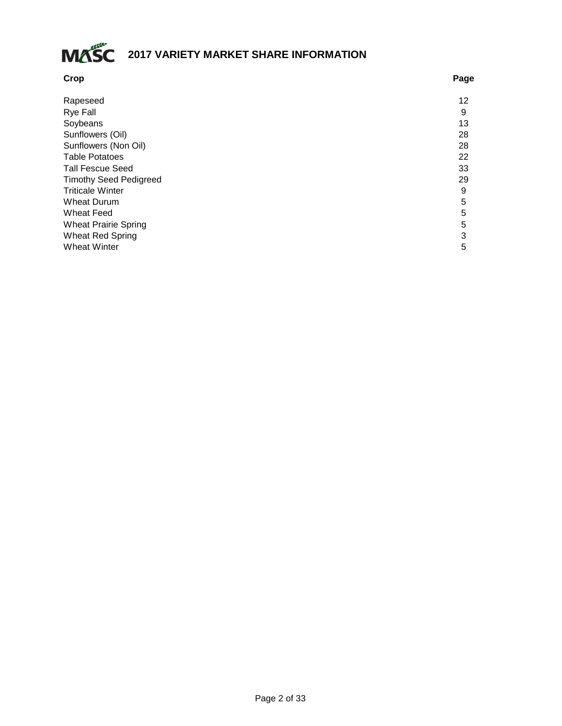

| Rapeseed<br><b>Rye Fall</b><br>Soybeans<br>Sunflowers (Oil)<br>Sunflowers (Non Oil)<br><b>Table Potatoes</b><br><b>Tall Fescue Seed</b> | Page |
|-----------------------------------------------------------------------------------------------------------------------------------------|------|
|                                                                                                                                         | 12   |
|                                                                                                                                         | 9    |
|                                                                                                                                         | 13   |
|                                                                                                                                         | 28   |
|                                                                                                                                         | 28   |
|                                                                                                                                         | 22   |
|                                                                                                                                         | 33   |
| <b>Timothy Seed Pedigreed</b>                                                                                                           | 29   |
| <b>Triticale Winter</b>                                                                                                                 | 9    |
| <b>Wheat Durum</b>                                                                                                                      | 5    |
| <b>Wheat Feed</b>                                                                                                                       | 5    |
| <b>Wheat Prairie Spring</b>                                                                                                             | 5    |
| <b>Wheat Red Spring</b>                                                                                                                 | 3    |
| <b>Wheat Winter</b>                                                                                                                     | 5    |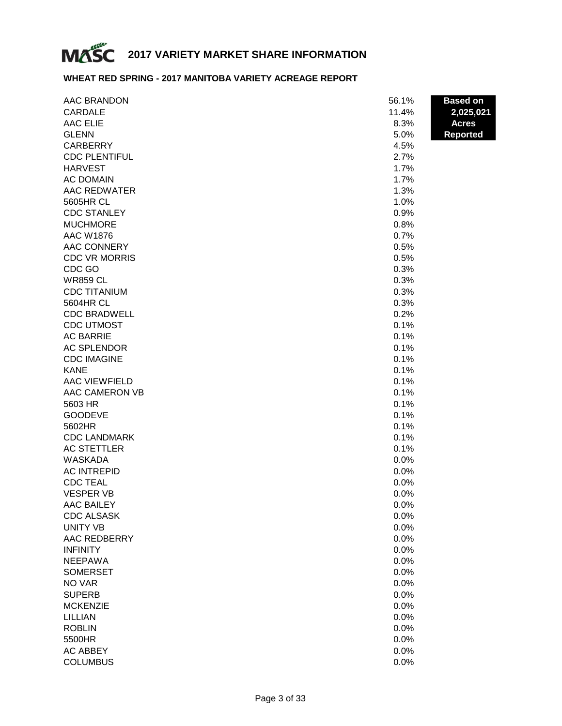

# **WHEAT RED SPRING - 2017 MANITOBA VARIETY ACREAGE REPORT**

| CARDALE<br>11.4%<br>2,025,021<br><b>AAC ELIE</b><br>8.3%<br><b>Acres</b><br><b>GLENN</b><br><b>Reported</b><br>5.0%<br><b>CARBERRY</b><br>4.5%<br><b>CDC PLENTIFUL</b><br>2.7%<br><b>HARVEST</b><br>1.7%<br><b>AC DOMAIN</b><br>1.7%<br>AAC REDWATER<br>1.3%<br>5605HR CL<br>1.0%<br><b>CDC STANLEY</b><br>0.9%<br><b>MUCHMORE</b><br>0.8%<br><b>AAC W1876</b><br>0.7%<br>AAC CONNERY<br>0.5%<br><b>CDC VR MORRIS</b><br>0.5%<br>CDC GO<br>0.3%<br><b>WR859 CL</b><br>0.3%<br><b>CDC TITANIUM</b><br>0.3%<br>5604HR CL<br>0.3%<br><b>CDC BRADWELL</b><br>0.2%<br><b>CDC UTMOST</b><br>0.1%<br><b>AC BARRIE</b><br>0.1%<br><b>AC SPLENDOR</b><br>0.1%<br><b>CDC IMAGINE</b><br>0.1%<br><b>KANE</b><br>0.1%<br><b>AAC VIEWFIELD</b><br>0.1%<br>AAC CAMERON VB<br>0.1%<br>0.1%<br>5603 HR<br><b>GOODEVE</b><br>0.1%<br>5602HR<br>0.1% | AAC BRANDON         | 56.1% | <b>Based on</b> |
|------------------------------------------------------------------------------------------------------------------------------------------------------------------------------------------------------------------------------------------------------------------------------------------------------------------------------------------------------------------------------------------------------------------------------------------------------------------------------------------------------------------------------------------------------------------------------------------------------------------------------------------------------------------------------------------------------------------------------------------------------------------------------------------------------------------------------------|---------------------|-------|-----------------|
|                                                                                                                                                                                                                                                                                                                                                                                                                                                                                                                                                                                                                                                                                                                                                                                                                                    |                     |       |                 |
|                                                                                                                                                                                                                                                                                                                                                                                                                                                                                                                                                                                                                                                                                                                                                                                                                                    |                     |       |                 |
|                                                                                                                                                                                                                                                                                                                                                                                                                                                                                                                                                                                                                                                                                                                                                                                                                                    |                     |       |                 |
|                                                                                                                                                                                                                                                                                                                                                                                                                                                                                                                                                                                                                                                                                                                                                                                                                                    |                     |       |                 |
|                                                                                                                                                                                                                                                                                                                                                                                                                                                                                                                                                                                                                                                                                                                                                                                                                                    |                     |       |                 |
|                                                                                                                                                                                                                                                                                                                                                                                                                                                                                                                                                                                                                                                                                                                                                                                                                                    |                     |       |                 |
|                                                                                                                                                                                                                                                                                                                                                                                                                                                                                                                                                                                                                                                                                                                                                                                                                                    |                     |       |                 |
|                                                                                                                                                                                                                                                                                                                                                                                                                                                                                                                                                                                                                                                                                                                                                                                                                                    |                     |       |                 |
|                                                                                                                                                                                                                                                                                                                                                                                                                                                                                                                                                                                                                                                                                                                                                                                                                                    |                     |       |                 |
|                                                                                                                                                                                                                                                                                                                                                                                                                                                                                                                                                                                                                                                                                                                                                                                                                                    |                     |       |                 |
|                                                                                                                                                                                                                                                                                                                                                                                                                                                                                                                                                                                                                                                                                                                                                                                                                                    |                     |       |                 |
|                                                                                                                                                                                                                                                                                                                                                                                                                                                                                                                                                                                                                                                                                                                                                                                                                                    |                     |       |                 |
|                                                                                                                                                                                                                                                                                                                                                                                                                                                                                                                                                                                                                                                                                                                                                                                                                                    |                     |       |                 |
|                                                                                                                                                                                                                                                                                                                                                                                                                                                                                                                                                                                                                                                                                                                                                                                                                                    |                     |       |                 |
|                                                                                                                                                                                                                                                                                                                                                                                                                                                                                                                                                                                                                                                                                                                                                                                                                                    |                     |       |                 |
|                                                                                                                                                                                                                                                                                                                                                                                                                                                                                                                                                                                                                                                                                                                                                                                                                                    |                     |       |                 |
|                                                                                                                                                                                                                                                                                                                                                                                                                                                                                                                                                                                                                                                                                                                                                                                                                                    |                     |       |                 |
|                                                                                                                                                                                                                                                                                                                                                                                                                                                                                                                                                                                                                                                                                                                                                                                                                                    |                     |       |                 |
|                                                                                                                                                                                                                                                                                                                                                                                                                                                                                                                                                                                                                                                                                                                                                                                                                                    |                     |       |                 |
|                                                                                                                                                                                                                                                                                                                                                                                                                                                                                                                                                                                                                                                                                                                                                                                                                                    |                     |       |                 |
|                                                                                                                                                                                                                                                                                                                                                                                                                                                                                                                                                                                                                                                                                                                                                                                                                                    |                     |       |                 |
|                                                                                                                                                                                                                                                                                                                                                                                                                                                                                                                                                                                                                                                                                                                                                                                                                                    |                     |       |                 |
|                                                                                                                                                                                                                                                                                                                                                                                                                                                                                                                                                                                                                                                                                                                                                                                                                                    |                     |       |                 |
|                                                                                                                                                                                                                                                                                                                                                                                                                                                                                                                                                                                                                                                                                                                                                                                                                                    |                     |       |                 |
|                                                                                                                                                                                                                                                                                                                                                                                                                                                                                                                                                                                                                                                                                                                                                                                                                                    |                     |       |                 |
|                                                                                                                                                                                                                                                                                                                                                                                                                                                                                                                                                                                                                                                                                                                                                                                                                                    |                     |       |                 |
|                                                                                                                                                                                                                                                                                                                                                                                                                                                                                                                                                                                                                                                                                                                                                                                                                                    |                     |       |                 |
|                                                                                                                                                                                                                                                                                                                                                                                                                                                                                                                                                                                                                                                                                                                                                                                                                                    |                     |       |                 |
|                                                                                                                                                                                                                                                                                                                                                                                                                                                                                                                                                                                                                                                                                                                                                                                                                                    |                     |       |                 |
|                                                                                                                                                                                                                                                                                                                                                                                                                                                                                                                                                                                                                                                                                                                                                                                                                                    | <b>CDC LANDMARK</b> | 0.1%  |                 |
| 0.1%<br><b>AC STETTLER</b>                                                                                                                                                                                                                                                                                                                                                                                                                                                                                                                                                                                                                                                                                                                                                                                                         |                     |       |                 |
| <b>WASKADA</b><br>0.0%                                                                                                                                                                                                                                                                                                                                                                                                                                                                                                                                                                                                                                                                                                                                                                                                             |                     |       |                 |
| <b>AC INTREPID</b><br>0.0%                                                                                                                                                                                                                                                                                                                                                                                                                                                                                                                                                                                                                                                                                                                                                                                                         |                     |       |                 |
| <b>CDC TEAL</b><br>0.0%                                                                                                                                                                                                                                                                                                                                                                                                                                                                                                                                                                                                                                                                                                                                                                                                            |                     |       |                 |
| <b>VESPER VB</b><br>0.0%                                                                                                                                                                                                                                                                                                                                                                                                                                                                                                                                                                                                                                                                                                                                                                                                           |                     |       |                 |
| <b>AAC BAILEY</b><br>0.0%                                                                                                                                                                                                                                                                                                                                                                                                                                                                                                                                                                                                                                                                                                                                                                                                          |                     |       |                 |
| <b>CDC ALSASK</b><br>0.0%                                                                                                                                                                                                                                                                                                                                                                                                                                                                                                                                                                                                                                                                                                                                                                                                          |                     |       |                 |
| <b>UNITY VB</b><br>0.0%                                                                                                                                                                                                                                                                                                                                                                                                                                                                                                                                                                                                                                                                                                                                                                                                            |                     |       |                 |
| AAC REDBERRY<br>0.0%                                                                                                                                                                                                                                                                                                                                                                                                                                                                                                                                                                                                                                                                                                                                                                                                               |                     |       |                 |
| <b>INFINITY</b><br>0.0%                                                                                                                                                                                                                                                                                                                                                                                                                                                                                                                                                                                                                                                                                                                                                                                                            |                     |       |                 |
| <b>NEEPAWA</b><br>0.0%                                                                                                                                                                                                                                                                                                                                                                                                                                                                                                                                                                                                                                                                                                                                                                                                             |                     |       |                 |
| <b>SOMERSET</b><br>0.0%                                                                                                                                                                                                                                                                                                                                                                                                                                                                                                                                                                                                                                                                                                                                                                                                            |                     |       |                 |
| NO VAR<br>0.0%                                                                                                                                                                                                                                                                                                                                                                                                                                                                                                                                                                                                                                                                                                                                                                                                                     |                     |       |                 |
| <b>SUPERB</b><br>0.0%                                                                                                                                                                                                                                                                                                                                                                                                                                                                                                                                                                                                                                                                                                                                                                                                              |                     |       |                 |
| <b>MCKENZIE</b><br>0.0%                                                                                                                                                                                                                                                                                                                                                                                                                                                                                                                                                                                                                                                                                                                                                                                                            |                     |       |                 |
| <b>LILLIAN</b><br>0.0%                                                                                                                                                                                                                                                                                                                                                                                                                                                                                                                                                                                                                                                                                                                                                                                                             |                     |       |                 |
| 0.0%<br><b>ROBLIN</b>                                                                                                                                                                                                                                                                                                                                                                                                                                                                                                                                                                                                                                                                                                                                                                                                              |                     |       |                 |
| 5500HR<br>0.0%                                                                                                                                                                                                                                                                                                                                                                                                                                                                                                                                                                                                                                                                                                                                                                                                                     |                     |       |                 |
| <b>AC ABBEY</b><br>0.0%                                                                                                                                                                                                                                                                                                                                                                                                                                                                                                                                                                                                                                                                                                                                                                                                            |                     |       |                 |
| <b>COLUMBUS</b><br>0.0%                                                                                                                                                                                                                                                                                                                                                                                                                                                                                                                                                                                                                                                                                                                                                                                                            |                     |       |                 |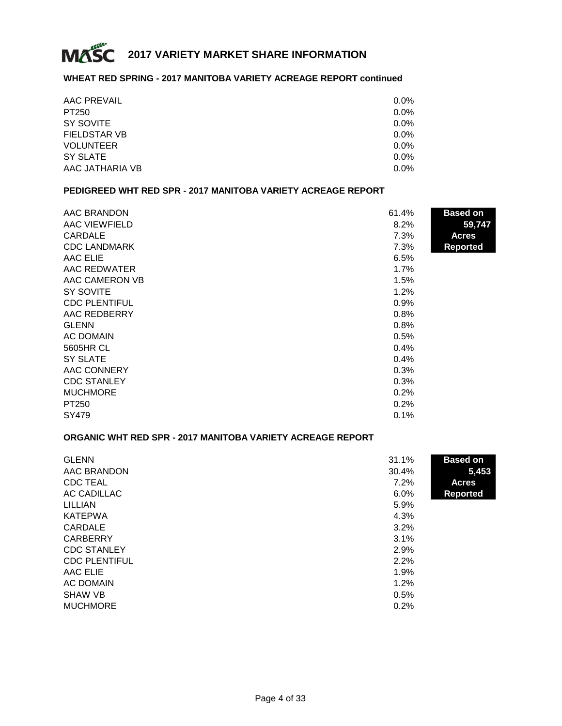

### **WHEAT RED SPRING - 2017 MANITOBA VARIETY ACREAGE REPORT continued**

| AAC PREVAIL         | $0.0\%$ |
|---------------------|---------|
| PT250               | $0.0\%$ |
| SY SOVITE           | $0.0\%$ |
| <b>FIELDSTAR VB</b> | $0.0\%$ |
| <b>VOLUNTEER</b>    | $0.0\%$ |
| SY SLATE            | $0.0\%$ |
| AAC JATHARIA VB     | $0.0\%$ |

#### **PEDIGREED WHT RED SPR - 2017 MANITOBA VARIETY ACREAGE REPORT**

| AAC BRANDON          | 61.4% | <b>Based on</b> |
|----------------------|-------|-----------------|
| AAC VIEWFIELD        | 8.2%  | 59,747          |
| <b>CARDALE</b>       | 7.3%  | <b>Acres</b>    |
| <b>CDC LANDMARK</b>  | 7.3%  | <b>Reported</b> |
| AAC ELIE             | 6.5%  |                 |
| AAC REDWATER         | 1.7%  |                 |
| AAC CAMERON VB       | 1.5%  |                 |
| SY SOVITE            | 1.2%  |                 |
| <b>CDC PLENTIFUL</b> | 0.9%  |                 |
| AAC REDBERRY         | 0.8%  |                 |
| <b>GLENN</b>         | 0.8%  |                 |
| <b>AC DOMAIN</b>     | 0.5%  |                 |
| 5605HR CL            | 0.4%  |                 |
| <b>SY SLATE</b>      | 0.4%  |                 |
| AAC CONNERY          | 0.3%  |                 |
| <b>CDC STANLEY</b>   | 0.3%  |                 |
| <b>MUCHMORE</b>      | 0.2%  |                 |
| PT250                | 0.2%  |                 |
| SY479                | 0.1%  |                 |

# **ORGANIC WHT RED SPR - 2017 MANITOBA VARIETY ACREAGE REPORT**

| <b>GLENN</b>         | 31.1% | <b>Based on</b> |
|----------------------|-------|-----------------|
| AAC BRANDON          | 30.4% | 5,453           |
| <b>CDC TEAL</b>      | 7.2%  | <b>Acres</b>    |
| AC CADILLAC          | 6.0%  | <b>Reported</b> |
| LILLIAN              | 5.9%  |                 |
| <b>KATEPWA</b>       | 4.3%  |                 |
| CARDALE              | 3.2%  |                 |
| <b>CARBERRY</b>      | 3.1%  |                 |
| <b>CDC STANLEY</b>   | 2.9%  |                 |
| <b>CDC PLENTIFUL</b> | 2.2%  |                 |
| AAC ELIE             | 1.9%  |                 |
| AC DOMAIN            | 1.2%  |                 |
| <b>SHAW VB</b>       | 0.5%  |                 |
| <b>MUCHMORE</b>      | 0.2%  |                 |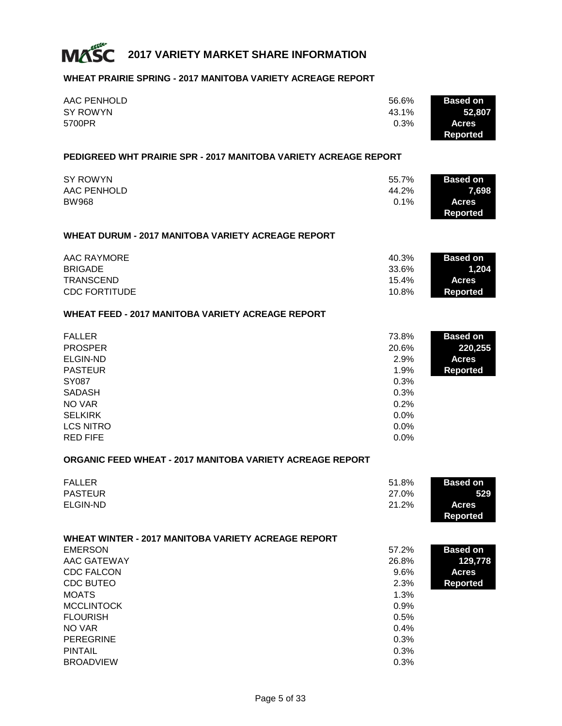

#### **WHEAT PRAIRIE SPRING - 2017 MANITOBA VARIETY ACREAGE REPORT**

| AAC PENHOLD | 56.6% | <b>Based on</b> |
|-------------|-------|-----------------|
| SY ROWYN    | 43.1% | 52.807          |
| 5700PR      | 0.3%  | <b>Acres</b>    |
|             |       | Reported        |

#### **PEDIGREED WHT PRAIRIE SPR - 2017 MANITOBA VARIETY ACREAGE REPORT**

| SY ROWYN     | 55.7% | <b>Based on</b> |
|--------------|-------|-----------------|
| AAC PENHOLD  | 44.2% | 7.698           |
| <b>BW968</b> | 0.1%  | <b>Acres</b>    |
|              |       | Reported        |

#### **WHEAT DURUM - 2017 MANITOBA VARIETY ACREAGE REPORT**

| AAC RAYMORE          | 40.3% | <b>Based on</b> |
|----------------------|-------|-----------------|
| <b>BRIGADE</b>       | 33.6% | 1.204           |
| TRANSCEND            | 15.4% | <b>Acres</b>    |
| <b>CDC FORTITUDE</b> | 10.8% | Reported        |

## **WHEAT FEED - 2017 MANITOBA VARIETY ACREAGE REPORT**

| <b>FALLER</b>    | 73.8% | <b>Based on</b> |
|------------------|-------|-----------------|
| <b>PROSPER</b>   | 20.6% | 220,255         |
| ELGIN-ND         | 2.9%  | <b>Acres</b>    |
| <b>PASTEUR</b>   | 1.9%  | <b>Reported</b> |
| <b>SY087</b>     | 0.3%  |                 |
| <b>SADASH</b>    | 0.3%  |                 |
| NO VAR           | 0.2%  |                 |
| <b>SELKIRK</b>   | 0.0%  |                 |
| <b>LCS NITRO</b> | 0.0%  |                 |
| <b>RED FIFE</b>  | 0.0%  |                 |

#### **ORGANIC FEED WHEAT - 2017 MANITOBA VARIETY ACREAGE REPORT**

| <b>FALLER</b>  | 51.8% | <b>Based on</b> |
|----------------|-------|-----------------|
| <b>PASTEUR</b> | 27.0% | 529             |
| ELGIN-ND       | 21.2% | <b>Acres</b>    |
|                |       | Reported        |

| <b>WHEAT WINTER - 2017 MANITOBA VARIETY ACREAGE REPORT</b> |         |                 |
|------------------------------------------------------------|---------|-----------------|
| <b>EMERSON</b>                                             | 57.2%   | <b>Based on</b> |
| AAC GATEWAY                                                | 26.8%   | 129,778         |
| <b>CDC FALCON</b>                                          | $9.6\%$ | <b>Acres</b>    |
| <b>CDC BUTEO</b>                                           | 2.3%    | <b>Reported</b> |
| <b>MOATS</b>                                               | 1.3%    |                 |
| <b>MCCLINTOCK</b>                                          | 0.9%    |                 |
| <b>FLOURISH</b>                                            | 0.5%    |                 |
| NO VAR                                                     | 0.4%    |                 |
| <b>PEREGRINE</b>                                           | 0.3%    |                 |
| <b>PINTAIL</b>                                             | 0.3%    |                 |
| <b>BROADVIEW</b>                                           | 0.3%    |                 |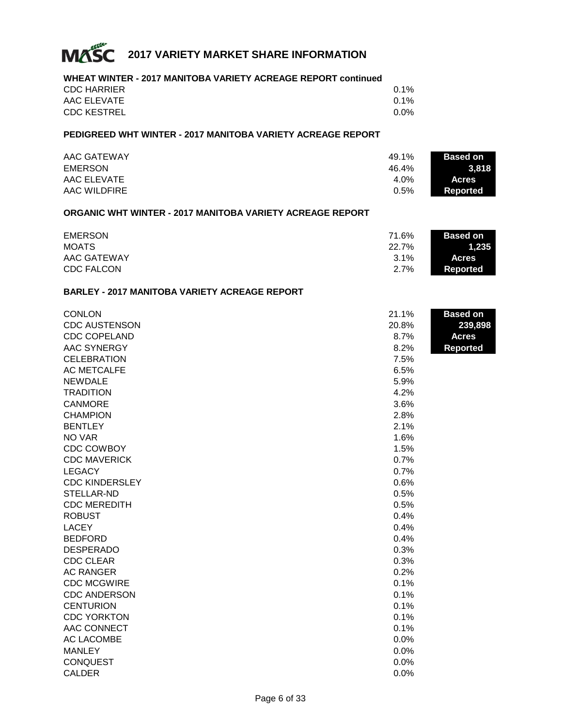

# **WHEAT WINTER - 2017 MANITOBA VARIETY ACREAGE REPORT continued**

| <b>CDC HARRIER</b> | 0.1% |
|--------------------|------|
| AAC ELEVATE        | 0.1% |
| <b>CDC KESTREL</b> | 0.0% |

# **PEDIGREED WHT WINTER - 2017 MANITOBA VARIETY ACREAGE REPORT**

| <b>AAC GATEWAY</b> | 49.1%   | <b>Based on</b> |
|--------------------|---------|-----------------|
| <b>EMERSON</b>     | 46.4%   | 3.818           |
| AAC ELEVATE        | $4.0\%$ | <b>Acres</b>    |
| AAC WILDFIRE       | 0.5%    | <b>Reported</b> |

## **ORGANIC WHT WINTER - 2017 MANITOBA VARIETY ACREAGE REPORT**

| <b>EMERSON</b>     | 71.6% | <b>Based on</b> |
|--------------------|-------|-----------------|
| <b>MOATS</b>       | 22.7% | 1.235'          |
| <b>AAC GATEWAY</b> | 3.1%  | <b>Acres</b>    |
| <b>CDC FALCON</b>  | 2.7%  | Reported        |

#### **BARLEY - 2017 MANITOBA VARIETY ACREAGE REPORT**

| <b>CONLON</b>         | 21.1% | <b>Based on</b> |
|-----------------------|-------|-----------------|
| <b>CDC AUSTENSON</b>  | 20.8% | 239,898         |
| <b>CDC COPELAND</b>   | 8.7%  | <b>Acres</b>    |
| <b>AAC SYNERGY</b>    | 8.2%  | <b>Reported</b> |
| <b>CELEBRATION</b>    | 7.5%  |                 |
| <b>AC METCALFE</b>    | 6.5%  |                 |
| <b>NEWDALE</b>        | 5.9%  |                 |
| <b>TRADITION</b>      | 4.2%  |                 |
| <b>CANMORE</b>        | 3.6%  |                 |
| <b>CHAMPION</b>       | 2.8%  |                 |
| <b>BENTLEY</b>        | 2.1%  |                 |
| NO VAR                | 1.6%  |                 |
| <b>CDC COWBOY</b>     | 1.5%  |                 |
| <b>CDC MAVERICK</b>   | 0.7%  |                 |
| <b>LEGACY</b>         | 0.7%  |                 |
| <b>CDC KINDERSLEY</b> | 0.6%  |                 |
| STELLAR-ND            | 0.5%  |                 |
| <b>CDC MEREDITH</b>   | 0.5%  |                 |
| <b>ROBUST</b>         | 0.4%  |                 |
| <b>LACEY</b>          | 0.4%  |                 |
| <b>BEDFORD</b>        | 0.4%  |                 |
| <b>DESPERADO</b>      | 0.3%  |                 |
| <b>CDC CLEAR</b>      | 0.3%  |                 |
| <b>AC RANGER</b>      | 0.2%  |                 |
| <b>CDC MCGWIRE</b>    | 0.1%  |                 |
| <b>CDC ANDERSON</b>   | 0.1%  |                 |
| <b>CENTURION</b>      | 0.1%  |                 |
| <b>CDC YORKTON</b>    | 0.1%  |                 |
| AAC CONNECT           | 0.1%  |                 |
| <b>AC LACOMBE</b>     | 0.0%  |                 |
| <b>MANLEY</b>         | 0.0%  |                 |
| <b>CONQUEST</b>       | 0.0%  |                 |
| <b>CALDER</b>         | 0.0%  |                 |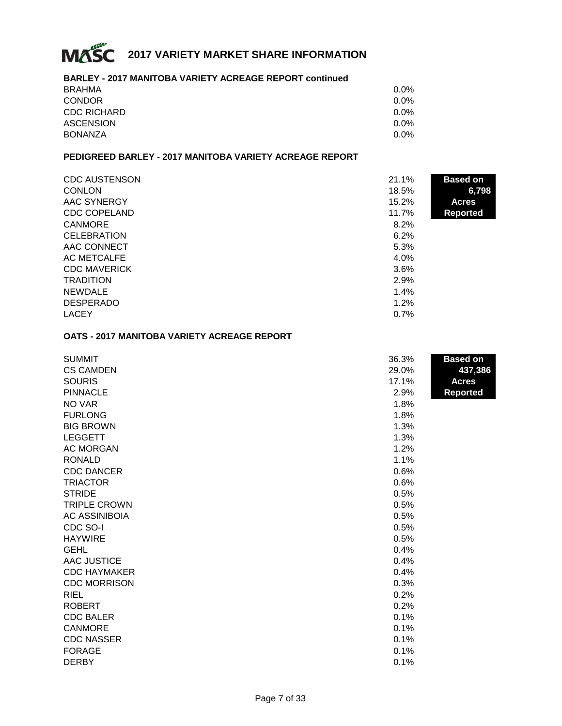

#### **BARLEY - 2017 MANITOBA VARIETY ACREAGE REPORT continued**

| <b>BRAHMA</b>      | 0.0% |
|--------------------|------|
| <b>CONDOR</b>      | 0.0% |
| <b>CDC RICHARD</b> | 0.0% |
| <b>ASCENSION</b>   | 0.0% |
| <b>BONANZA</b>     | 0.0% |

# **PEDIGREED BARLEY - 2017 MANITOBA VARIETY ACREAGE REPORT**

| <b>CDC AUSTENSON</b> | 21.1% | <b>Based on</b> |
|----------------------|-------|-----------------|
| <b>CONLON</b>        | 18.5% | 6,798           |
| AAC SYNERGY          | 15.2% | <b>Acres</b>    |
| <b>CDC COPELAND</b>  | 11.7% | <b>Reported</b> |
| <b>CANMORE</b>       | 8.2%  |                 |
| <b>CELEBRATION</b>   | 6.2%  |                 |
| AAC CONNECT          | 5.3%  |                 |
| AC METCALFE          | 4.0%  |                 |
| <b>CDC MAVERICK</b>  | 3.6%  |                 |
| <b>TRADITION</b>     | 2.9%  |                 |
| <b>NEWDALE</b>       | 1.4%  |                 |
| <b>DESPERADO</b>     | 1.2%  |                 |
| <b>LACEY</b>         | 0.7%  |                 |

#### **OATS - 2017 MANITOBA VARIETY ACREAGE REPORT**

| <b>SUMMIT</b>        | 36.3% | <b>Based on</b> |
|----------------------|-------|-----------------|
| <b>CS CAMDEN</b>     | 29.0% | 437,386         |
| <b>SOURIS</b>        | 17.1% | <b>Acres</b>    |
| <b>PINNACLE</b>      | 2.9%  | <b>Reported</b> |
| NO VAR               | 1.8%  |                 |
| <b>FURLONG</b>       | 1.8%  |                 |
| <b>BIG BROWN</b>     | 1.3%  |                 |
| <b>LEGGETT</b>       | 1.3%  |                 |
| <b>AC MORGAN</b>     | 1.2%  |                 |
| <b>RONALD</b>        | 1.1%  |                 |
| <b>CDC DANCER</b>    | 0.6%  |                 |
| <b>TRIACTOR</b>      | 0.6%  |                 |
| <b>STRIDE</b>        | 0.5%  |                 |
| <b>TRIPLE CROWN</b>  | 0.5%  |                 |
| <b>AC ASSINIBOIA</b> | 0.5%  |                 |
| CDC SO-I             | 0.5%  |                 |
| <b>HAYWIRE</b>       | 0.5%  |                 |
| <b>GEHL</b>          | 0.4%  |                 |
| <b>AAC JUSTICE</b>   | 0.4%  |                 |
| <b>CDC HAYMAKER</b>  | 0.4%  |                 |
| <b>CDC MORRISON</b>  | 0.3%  |                 |
| <b>RIEL</b>          | 0.2%  |                 |
| <b>ROBERT</b>        | 0.2%  |                 |
| <b>CDC BALER</b>     | 0.1%  |                 |
| <b>CANMORE</b>       | 0.1%  |                 |
| <b>CDC NASSER</b>    | 0.1%  |                 |
| <b>FORAGE</b>        | 0.1%  |                 |
| <b>DERBY</b>         | 0.1%  |                 |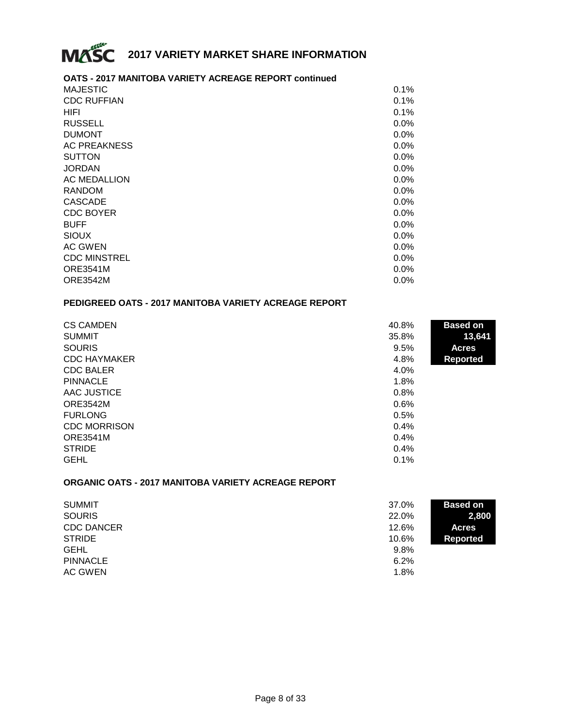

## **OATS - 2017 MANITOBA VARIETY ACREAGE REPORT continued**

| <b>MAJESTIC</b>     | 0.1% |
|---------------------|------|
| <b>CDC RUFFIAN</b>  | 0.1% |
| HIFI                | 0.1% |
| <b>RUSSELL</b>      | 0.0% |
| <b>DUMONT</b>       | 0.0% |
| <b>AC PREAKNESS</b> | 0.0% |
| <b>SUTTON</b>       | 0.0% |
| <b>JORDAN</b>       | 0.0% |
| <b>AC MEDALLION</b> | 0.0% |
| <b>RANDOM</b>       | 0.0% |
| <b>CASCADE</b>      | 0.0% |
| <b>CDC BOYER</b>    | 0.0% |
| <b>BUFF</b>         | 0.0% |
| <b>SIOUX</b>        | 0.0% |
| AC GWEN             | 0.0% |
| <b>CDC MINSTREL</b> | 0.0% |
| <b>ORE3541M</b>     | 0.0% |
| <b>ORE3542M</b>     | 0.0% |

# **PEDIGREED OATS - 2017 MANITOBA VARIETY ACREAGE REPORT**

| <b>CS CAMDEN</b>    | 40.8% | <b>Based on</b> |
|---------------------|-------|-----------------|
| <b>SUMMIT</b>       | 35.8% | 13,641          |
| <b>SOURIS</b>       | 9.5%  | <b>Acres</b>    |
| <b>CDC HAYMAKER</b> | 4.8%  | <b>Reported</b> |
| <b>CDC BALER</b>    | 4.0%  |                 |
| <b>PINNACLE</b>     | 1.8%  |                 |
| AAC JUSTICE         | 0.8%  |                 |
| <b>ORE3542M</b>     | 0.6%  |                 |
| <b>FURLONG</b>      | 0.5%  |                 |
| <b>CDC MORRISON</b> | 0.4%  |                 |
| <b>ORE3541M</b>     | 0.4%  |                 |
| <b>STRIDE</b>       | 0.4%  |                 |
| <b>GEHL</b>         | 0.1%  |                 |

#### **ORGANIC OATS - 2017 MANITOBA VARIETY ACREAGE REPORT**

| <b>SUMMIT</b>     | 37.0% | <b>Based on</b> |
|-------------------|-------|-----------------|
| <b>SOURIS</b>     | 22.0% | 2,800           |
| <b>CDC DANCER</b> | 12.6% | <b>Acres</b>    |
| <b>STRIDE</b>     | 10.6% | Reported        |
| <b>GEHL</b>       | 9.8%  |                 |
| <b>PINNACLE</b>   | 6.2%  |                 |
| AC GWEN           | 1.8%  |                 |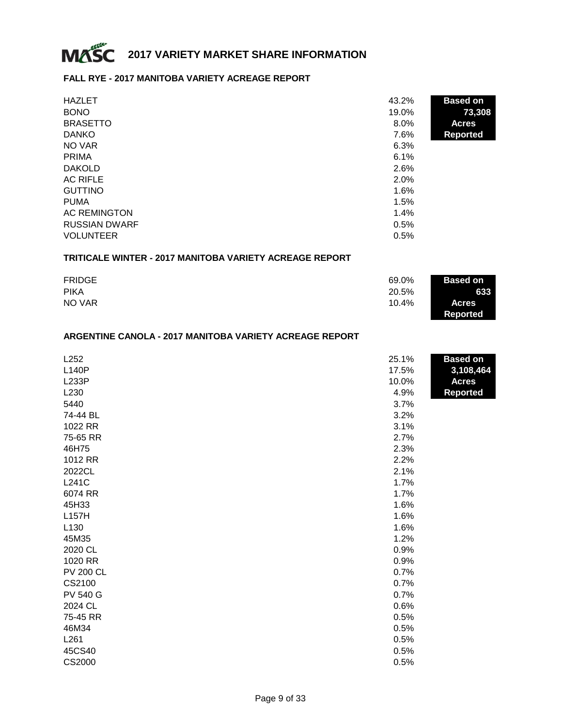

#### **FALL RYE - 2017 MANITOBA VARIETY ACREAGE REPORT**

| <b>HAZLET</b>        | 43.2%   | <b>Based on</b> |
|----------------------|---------|-----------------|
| <b>BONO</b>          | 19.0%   | 73,308          |
| <b>BRASETTO</b>      | $8.0\%$ | <b>Acres</b>    |
| <b>DANKO</b>         | 7.6%    | <b>Reported</b> |
| NO VAR               | 6.3%    |                 |
| <b>PRIMA</b>         | 6.1%    |                 |
| <b>DAKOLD</b>        | 2.6%    |                 |
| <b>AC RIFLE</b>      | 2.0%    |                 |
| <b>GUTTINO</b>       | 1.6%    |                 |
| <b>PUMA</b>          | 1.5%    |                 |
| <b>AC REMINGTON</b>  | 1.4%    |                 |
| <b>RUSSIAN DWARF</b> | 0.5%    |                 |
| <b>VOLUNTEER</b>     | 0.5%    |                 |

## **TRITICALE WINTER - 2017 MANITOBA VARIETY ACREAGE REPORT**

| <b>FRIDGE</b> | 69.0% | <b>Based on</b> |
|---------------|-------|-----------------|
| <b>PIKA</b>   | 20.5% | 633             |
| NO VAR        | 10.4% | <b>Acres</b>    |
|               |       | <b>Reported</b> |

#### **ARGENTINE CANOLA - 2017 MANITOBA VARIETY ACREAGE REPORT**

| L252             | 25.1% | <b>Based on</b> |
|------------------|-------|-----------------|
| <b>L140P</b>     | 17.5% | 3,108,464       |
| <b>L233P</b>     | 10.0% | <b>Acres</b>    |
| L230             | 4.9%  | <b>Reported</b> |
| 5440             | 3.7%  |                 |
| 74-44 BL         | 3.2%  |                 |
| 1022 RR          | 3.1%  |                 |
| 75-65 RR         | 2.7%  |                 |
| 46H75            | 2.3%  |                 |
| 1012 RR          | 2.2%  |                 |
| 2022CL           | 2.1%  |                 |
| L241C            | 1.7%  |                 |
| 6074 RR          | 1.7%  |                 |
| 45H33            | 1.6%  |                 |
| L157H            | 1.6%  |                 |
| L130             | 1.6%  |                 |
| 45M35            | 1.2%  |                 |
| 2020 CL          | 0.9%  |                 |
| 1020 RR          | 0.9%  |                 |
| <b>PV 200 CL</b> | 0.7%  |                 |
| CS2100           | 0.7%  |                 |
| <b>PV 540 G</b>  | 0.7%  |                 |
| 2024 CL          | 0.6%  |                 |
| 75-45 RR         | 0.5%  |                 |
| 46M34            | 0.5%  |                 |
| L261             | 0.5%  |                 |
| 45CS40           | 0.5%  |                 |
| CS2000           | 0.5%  |                 |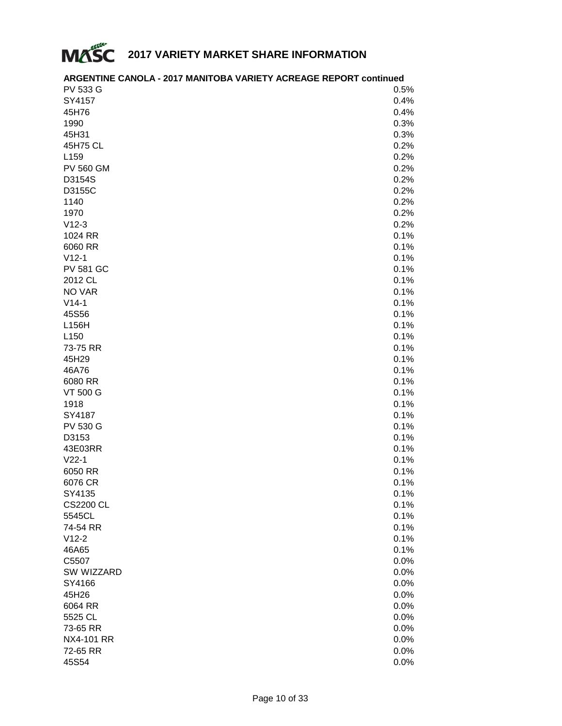

| <b>PV 533 G</b>     | 0.5%         |
|---------------------|--------------|
| SY4157              | 0.4%         |
| 45H76               | 0.4%         |
| 1990                | 0.3%         |
| 45H31               | 0.3%         |
| 45H75 CL            | 0.2%         |
| L159                | 0.2%         |
| <b>PV 560 GM</b>    | 0.2%         |
| D3154S              | 0.2%         |
| D3155C              | 0.2%         |
| 1140                | 0.2%         |
| 1970                | 0.2%         |
| $V12-3$             | 0.2%         |
| 1024 RR             | 0.1%         |
| 6060 RR             | 0.1%         |
| $V12-1$             | 0.1%         |
| <b>PV 581 GC</b>    | 0.1%         |
| 2012 CL             | 0.1%         |
| NO VAR              | 0.1%         |
| $V14-1$             | 0.1%         |
| 45S56               | 0.1%         |
| L156H               | 0.1%         |
| L <sub>150</sub>    | 0.1%         |
| 73-75 RR            | 0.1%         |
| 45H29               | 0.1%         |
| 46A76               | 0.1%         |
| 6080 RR             | 0.1%         |
| <b>VT 500 G</b>     | 0.1%         |
| 1918                | 0.1%         |
| SY4187              |              |
| <b>PV 530 G</b>     | 0.1%<br>0.1% |
| D3153               | 0.1%         |
| 43E03RR             | 0.1%         |
| $V22-1$             | 0.1%         |
| 6050 RR             | 0.1%         |
|                     |              |
| 6076 CR<br>SY4135   | 0.1%<br>0.1% |
| <b>CS2200 CL</b>    | 0.1%         |
| 5545CL              | 0.1%         |
| 74-54 RR            | 0.1%         |
| $V12-2$             | 0.1%         |
| 46A65               | 0.1%         |
|                     |              |
| C5507<br>SW WIZZARD | 0.0%         |
|                     | 0.0%         |
| SY4166<br>45H26     | 0.0%         |
|                     | 0.0%         |
| 6064 RR             | 0.0%         |
| 5525 CL             | 0.0%         |
| 73-65 RR            | 0.0%         |
| <b>NX4-101 RR</b>   | 0.0%         |
| 72-65 RR            | 0.0%         |
| 45S54               | 0.0%         |

# **ARGENTINE CANOLA - 2017 MANITOBA VARIETY ACREAGE REPORT continued**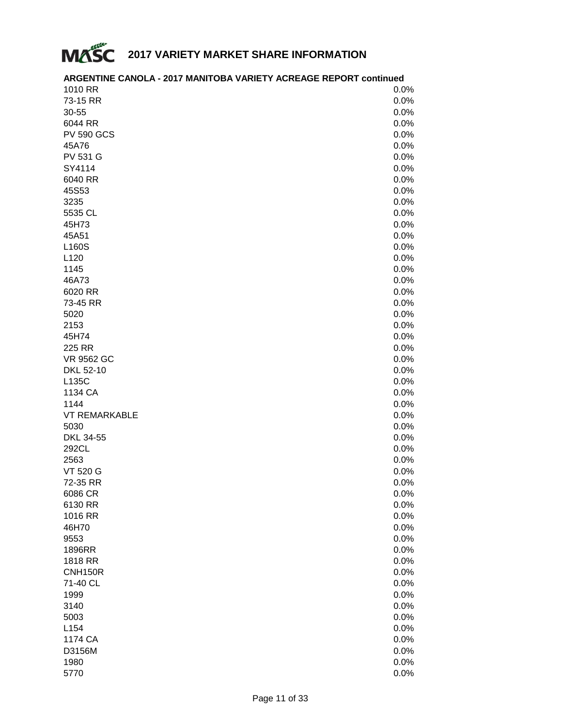

| 1010 RR              | 0.0% |
|----------------------|------|
| 73-15 RR             | 0.0% |
| 30-55                | 0.0% |
| 6044 RR              | 0.0% |
| <b>PV 590 GCS</b>    | 0.0% |
| 45A76                | 0.0% |
| <b>PV 531 G</b>      | 0.0% |
| SY4114               | 0.0% |
| 6040 RR              | 0.0% |
| 45S53                |      |
|                      | 0.0% |
| 3235                 | 0.0% |
| 5535 CL              | 0.0% |
| 45H73                | 0.0% |
| 45A51                | 0.0% |
| L160S                | 0.0% |
| L120                 | 0.0% |
| 1145                 | 0.0% |
| 46A73                | 0.0% |
| 6020 RR              | 0.0% |
| 73-45 RR             | 0.0% |
| 5020                 | 0.0% |
| 2153                 | 0.0% |
| 45H74                | 0.0% |
| 225 RR               | 0.0% |
| <b>VR 9562 GC</b>    | 0.0% |
| DKL 52-10            | 0.0% |
| L135C                | 0.0% |
| 1134 CA              | 0.0% |
| 1144                 | 0.0% |
| <b>VT REMARKABLE</b> | 0.0% |
| 5030                 | 0.0% |
| DKL 34-55            | 0.0% |
| 292CL                | 0.0% |
| 2563                 | 0.0% |
| VT 520 G             | 0.0% |
| 72-35 RR             | 0.0% |
| 6086 CR              | 0.0% |
| 6130 RR              | 0.0% |
| 1016 RR              | 0.0% |
| 46H70                | 0.0% |
| 9553                 | 0.0% |
| 1896RR               | 0.0% |
|                      |      |
| 1818 RR              | 0.0% |
| <b>CNH150R</b>       | 0.0% |
| 71-40 CL             | 0.0% |
| 1999                 | 0.0% |
| 3140                 | 0.0% |
| 5003                 | 0.0% |
| L154                 | 0.0% |
| 1174 CA              | 0.0% |
| D3156M               | 0.0% |
| 1980                 | 0.0% |
| 5770                 | 0.0% |

# **ARGENTINE CANOLA - 2017 MANITOBA VARIETY ACREAGE REPORT continued**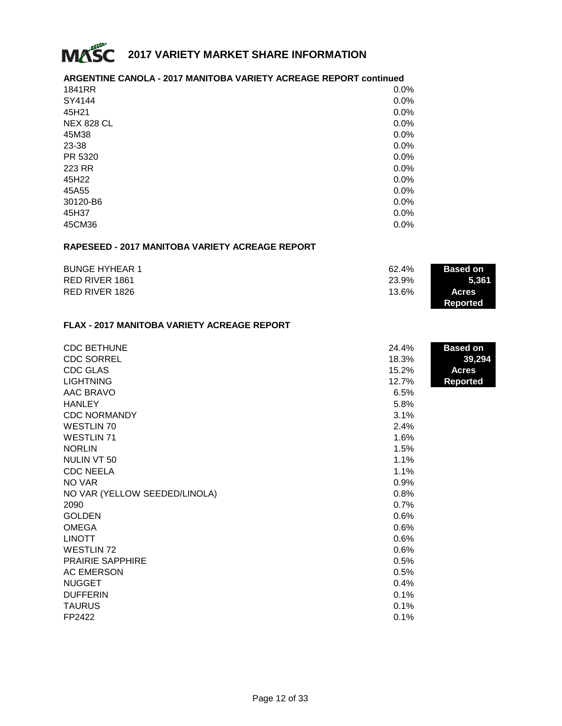

## **ARGENTINE CANOLA - 2017 MANITOBA VARIETY ACREAGE REPORT continued**

| 1841RR            | 0.0%    |
|-------------------|---------|
| SY4144            | 0.0%    |
| 45H21             | 0.0%    |
| <b>NEX 828 CL</b> | 0.0%    |
| 45M38             | 0.0%    |
| 23-38             | 0.0%    |
| PR 5320           | 0.0%    |
| 223 RR            | $0.0\%$ |
| 45H22             | 0.0%    |
| 45A55             | 0.0%    |
| 30120-B6          | $0.0\%$ |
| 45H37             | 0.0%    |
| 45CM36            | 0.0%    |

#### **RAPESEED - 2017 MANITOBA VARIETY ACREAGE REPORT**

| <b>BUNGE HYHEAR 1</b> | 62.4% | <b>Based on</b> |
|-----------------------|-------|-----------------|
| RED RIVER 1861        | 23.9% | 5.361           |
| RED RIVER 1826        | 13.6% | <b>Acres</b>    |
|                       |       | Reported        |

### **FLAX - 2017 MANITOBA VARIETY ACREAGE REPORT**

| <b>CDC BETHUNE</b>            | 24.4% | <b>Based on</b> |
|-------------------------------|-------|-----------------|
| <b>CDC SORREL</b>             | 18.3% | 39,294          |
| <b>CDC GLAS</b>               | 15.2% | <b>Acres</b>    |
| <b>LIGHTNING</b>              | 12.7% | <b>Reported</b> |
| AAC BRAVO                     | 6.5%  |                 |
| <b>HANLEY</b>                 | 5.8%  |                 |
| <b>CDC NORMANDY</b>           | 3.1%  |                 |
| <b>WESTLIN 70</b>             | 2.4%  |                 |
| <b>WESTLIN 71</b>             | 1.6%  |                 |
| <b>NORLIN</b>                 | 1.5%  |                 |
| NULIN VT 50                   | 1.1%  |                 |
| <b>CDC NEELA</b>              | 1.1%  |                 |
| NO VAR                        | 0.9%  |                 |
| NO VAR (YELLOW SEEDED/LINOLA) | 0.8%  |                 |
| 2090                          | 0.7%  |                 |
| <b>GOLDEN</b>                 | 0.6%  |                 |
| <b>OMEGA</b>                  | 0.6%  |                 |
| <b>LINOTT</b>                 | 0.6%  |                 |
| <b>WESTLIN 72</b>             | 0.6%  |                 |
| PRAIRIE SAPPHIRE              | 0.5%  |                 |
| <b>AC EMERSON</b>             | 0.5%  |                 |
| <b>NUGGET</b>                 | 0.4%  |                 |
| <b>DUFFERIN</b>               | 0.1%  |                 |
| <b>TAURUS</b>                 | 0.1%  |                 |
| FP2422                        | 0.1%  |                 |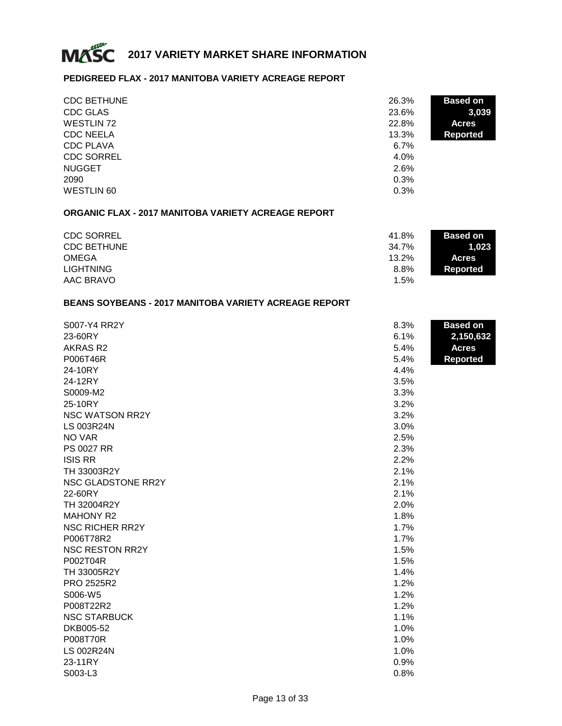

# **PEDIGREED FLAX - 2017 MANITOBA VARIETY ACREAGE REPORT**

| <b>CDC BETHUNE</b> | 26.3%   | <b>Based on</b> |
|--------------------|---------|-----------------|
| <b>CDC GLAS</b>    | 23.6%   | 3,039           |
| <b>WESTLIN 72</b>  | 22.8%   | <b>Acres</b>    |
| <b>CDC NEELA</b>   | 13.3%   | <b>Reported</b> |
| <b>CDC PLAVA</b>   | 6.7%    |                 |
| <b>CDC SORREL</b>  | $4.0\%$ |                 |
| <b>NUGGET</b>      | 2.6%    |                 |
| 2090               | 0.3%    |                 |
| <b>WESTLIN 60</b>  | 0.3%    |                 |

# **ORGANIC FLAX - 2017 MANITOBA VARIETY ACREAGE REPORT**

| <b>CDC SORREL</b>  | 41.8%   | <b>Based on</b> |
|--------------------|---------|-----------------|
| <b>CDC BETHUNE</b> | 34.7%   | 1.023           |
| <b>OMEGA</b>       | 13.2%   | <b>Acres</b>    |
| <b>LIGHTNING</b>   | 8.8%    | Reported        |
| AAC BRAVO          | $1.5\%$ |                 |

### **BEANS SOYBEANS - 2017 MANITOBA VARIETY ACREAGE REPORT**

| S007-Y4 RR2Y           | 8.3% | <b>Based on</b> |
|------------------------|------|-----------------|
| 23-60RY                | 6.1% | 2,150,632       |
| AKRAS R2               | 5.4% | <b>Acres</b>    |
| P006T46R               | 5.4% | <b>Reported</b> |
| 24-10RY                | 4.4% |                 |
| 24-12RY                | 3.5% |                 |
| S0009-M2               | 3.3% |                 |
| 25-10RY                | 3.2% |                 |
| <b>NSC WATSON RR2Y</b> | 3.2% |                 |
| <b>LS 003R24N</b>      | 3.0% |                 |
| NO VAR                 | 2.5% |                 |
| PS 0027 RR             | 2.3% |                 |
| <b>ISIS RR</b>         | 2.2% |                 |
| TH 33003R2Y            | 2.1% |                 |
| NSC GLADSTONE RR2Y     | 2.1% |                 |
| 22-60RY                | 2.1% |                 |
| TH 32004R2Y            | 2.0% |                 |
| <b>MAHONY R2</b>       | 1.8% |                 |
| <b>NSC RICHER RR2Y</b> | 1.7% |                 |
| P006T78R2              | 1.7% |                 |
| <b>NSC RESTON RR2Y</b> | 1.5% |                 |
| P002T04R               | 1.5% |                 |
| TH 33005R2Y            | 1.4% |                 |
| PRO 2525R2             | 1.2% |                 |
| S006-W5                | 1.2% |                 |
| P008T22R2              | 1.2% |                 |
| <b>NSC STARBUCK</b>    | 1.1% |                 |
| DKB005-52              | 1.0% |                 |
| P008T70R               | 1.0% |                 |
| <b>LS 002R24N</b>      | 1.0% |                 |
| 23-11RY                | 0.9% |                 |
| S003-L3                | 0.8% |                 |
|                        |      |                 |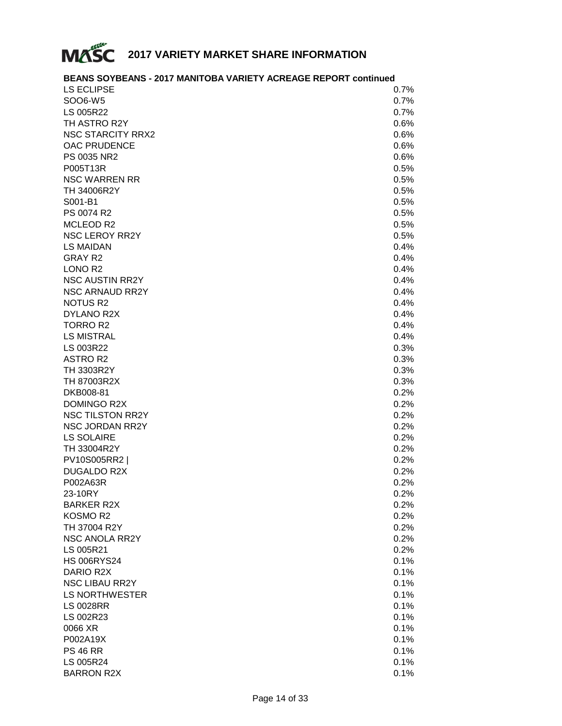

# **BEANS SOYBEANS - 2017 MANITOBA VARIETY ACREAGE REPORT continued**

| <b>LS ECLIPSE</b>        | 0.7% |
|--------------------------|------|
| SOO6-W5                  | 0.7% |
| LS 005R22                | 0.7% |
| TH ASTRO R2Y             | 0.6% |
| <b>NSC STARCITY RRX2</b> | 0.6% |
| OAC PRUDENCE             | 0.6% |
| PS 0035 NR2              | 0.6% |
| P005T13R                 | 0.5% |
| <b>NSC WARREN RR</b>     | 0.5% |
| TH 34006R2Y              | 0.5% |
| S001-B1                  | 0.5% |
| PS 0074 R2               | 0.5% |
| MCLEOD R2                | 0.5% |
| <b>NSC LEROY RR2Y</b>    | 0.5% |
| <b>LS MAIDAN</b>         | 0.4% |
| <b>GRAY R2</b>           | 0.4% |
| LONO <sub>R2</sub>       | 0.4% |
| <b>NSC AUSTIN RR2Y</b>   | 0.4% |
| NSC ARNAUD RR2Y          |      |
|                          | 0.4% |
| <b>NOTUS R2</b>          | 0.4% |
| DYLANO R2X               | 0.4% |
| <b>TORRO R2</b>          | 0.4% |
| <b>LS MISTRAL</b>        | 0.4% |
| LS 003R22                | 0.3% |
| <b>ASTRO R2</b>          | 0.3% |
| TH 3303R2Y               | 0.3% |
| TH 87003R2X              | 0.3% |
| DKB008-81                | 0.2% |
| DOMINGO R2X              | 0.2% |
| <b>NSC TILSTON RR2Y</b>  | 0.2% |
| NSC JORDAN RR2Y          | 0.2% |
| <b>LS SOLAIRE</b>        | 0.2% |
| TH 33004R2Y              | 0.2% |
| PV10S005RR2              | 0.2% |
| <b>DUGALDO R2X</b>       | 0.2% |
| P002A63R                 | 0.2% |
| 23-10RY                  | 0.2% |
| <b>BARKER R2X</b>        | 0.2% |
| KOSMO R2                 | 0.2% |
| TH 37004 R2Y             | 0.2% |
| NSC ANOLA RR2Y           | 0.2% |
| LS 005R21                | 0.2% |
| <b>HS 006RYS24</b>       | 0.1% |
| DARIO R2X                | 0.1% |
| NSC LIBAU RR2Y           | 0.1% |
| LS NORTHWESTER           | 0.1% |
| <b>LS 0028RR</b>         | 0.1% |
| LS 002R23                | 0.1% |
| 0066 XR                  | 0.1% |
| P002A19X                 | 0.1% |
| <b>PS 46 RR</b>          | 0.1% |
| LS 005R24                | 0.1% |
| <b>BARRON R2X</b>        | 0.1% |
|                          |      |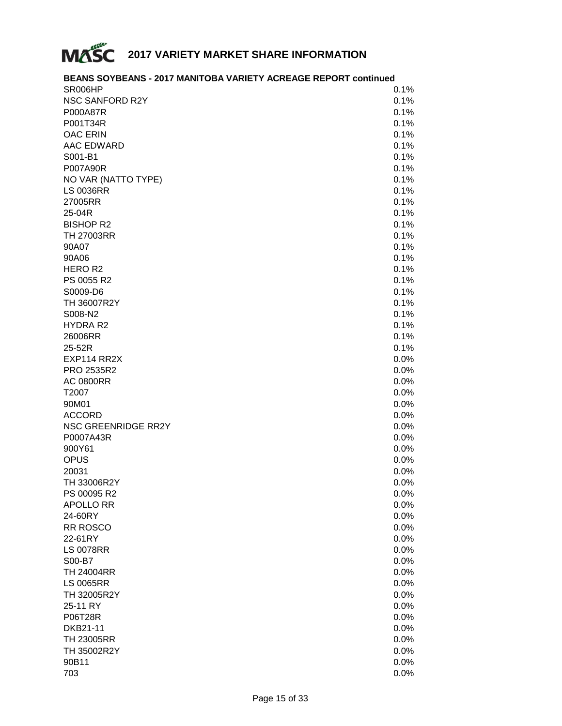

| <b>BEANS SOYBEANS - 2017 MANITOBA VARIETY ACREAGE REPORT continued</b> |      |
|------------------------------------------------------------------------|------|
| SR006HP                                                                | 0.1% |
| <b>NSC SANFORD R2Y</b>                                                 | 0.1% |
| P000A87R                                                               | 0.1% |
| P001T34R                                                               | 0.1% |
| <b>OAC ERIN</b>                                                        | 0.1% |
| AAC EDWARD                                                             | 0.1% |
| S001-B1                                                                | 0.1% |
| P007A90R                                                               | 0.1% |
| NO VAR (NATTO TYPE)                                                    | 0.1% |
| <b>LS 0036RR</b>                                                       | 0.1% |
| 27005RR                                                                | 0.1% |
| 25-04R                                                                 | 0.1% |
| <b>BISHOP R2</b>                                                       | 0.1% |
| <b>TH 27003RR</b>                                                      | 0.1% |
| 90A07                                                                  | 0.1% |
| 90A06                                                                  | 0.1% |
| HERO R <sub>2</sub>                                                    | 0.1% |
| PS 0055 R2                                                             | 0.1% |
| S0009-D6                                                               | 0.1% |
| TH 36007R2Y                                                            | 0.1% |
| S008-N2                                                                | 0.1% |
| <b>HYDRA R2</b>                                                        |      |
|                                                                        | 0.1% |
| 26006RR                                                                | 0.1% |
| 25-52R                                                                 | 0.1% |
| EXP114 RR2X                                                            | 0.0% |
| PRO 2535R2                                                             | 0.0% |
| <b>AC 0800RR</b>                                                       | 0.0% |
| T2007                                                                  | 0.0% |
| 90M01                                                                  | 0.0% |
| <b>ACCORD</b>                                                          | 0.0% |
| NSC GREENRIDGE RR2Y                                                    | 0.0% |
| P0007A43R                                                              | 0.0% |
| 900Y61                                                                 | 0.0% |
| <b>OPUS</b>                                                            | 0.0% |
| 20031                                                                  | 0.0% |
| TH 33006R2Y                                                            | 0.0% |
| PS 00095 R2                                                            | 0.0% |
| <b>APOLLO RR</b>                                                       | 0.0% |
| 24-60RY                                                                | 0.0% |
| <b>RR ROSCO</b>                                                        | 0.0% |
| 22-61RY                                                                | 0.0% |
| <b>LS 0078RR</b>                                                       | 0.0% |
| S00-B7                                                                 | 0.0% |
| <b>TH 24004RR</b>                                                      | 0.0% |
| <b>LS 0065RR</b>                                                       | 0.0% |
| TH 32005R2Y                                                            | 0.0% |
| 25-11 RY                                                               | 0.0% |
| P06T28R                                                                | 0.0% |
| DKB21-11                                                               | 0.0% |
| <b>TH 23005RR</b>                                                      | 0.0% |
| TH 35002R2Y                                                            | 0.0% |
| 90B11                                                                  | 0.0% |
| 703                                                                    | 0.0% |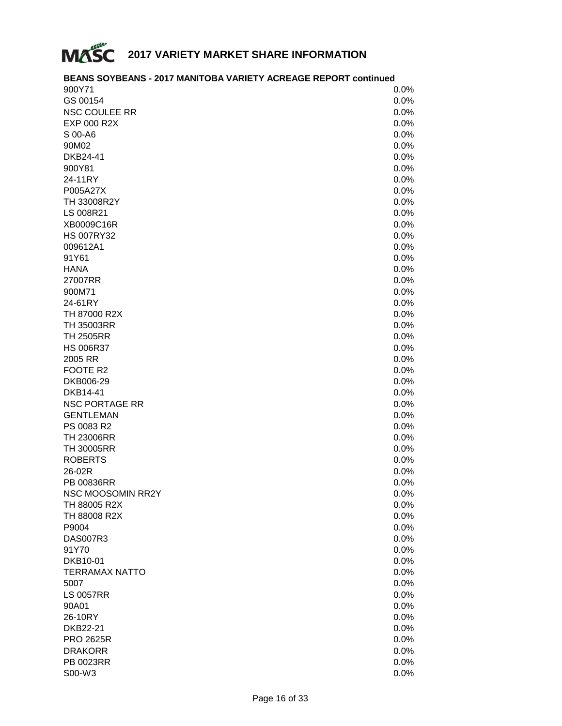

# **BEANS SOYBEANS - 2017 MANITOBA VARIETY ACREAGE REPORT continued**

| 900Y71                   | 0.0%    |
|--------------------------|---------|
| GS 00154                 | 0.0%    |
| <b>NSC COULEE RR</b>     | 0.0%    |
| EXP 000 R2X              | 0.0%    |
| S 00-A6                  | 0.0%    |
| 90M02                    | 0.0%    |
| DKB24-41                 | 0.0%    |
| 900Y81                   | 0.0%    |
| 24-11RY                  | 0.0%    |
| P005A27X                 | 0.0%    |
| TH 33008R2Y              | 0.0%    |
| LS 008R21                | 0.0%    |
| XB0009C16R               | 0.0%    |
| <b>HS 007RY32</b>        | 0.0%    |
| 009612A1                 | 0.0%    |
| 91Y61                    | 0.0%    |
| <b>HANA</b>              | 0.0%    |
| 27007RR                  | 0.0%    |
| 900M71                   | 0.0%    |
| 24-61RY                  | 0.0%    |
| TH 87000 R2X             | 0.0%    |
| <b>TH 35003RR</b>        | 0.0%    |
| <b>TH 2505RR</b>         | 0.0%    |
| <b>HS 006R37</b>         | 0.0%    |
| 2005 RR                  | 0.0%    |
| FOOTE R2                 | 0.0%    |
| DKB006-29                | 0.0%    |
| <b>DKB14-41</b>          | 0.0%    |
| <b>NSC PORTAGE RR</b>    | 0.0%    |
| <b>GENTLEMAN</b>         | 0.0%    |
| PS 0083 R2               | 0.0%    |
| <b>TH 23006RR</b>        | 0.0%    |
| <b>TH 30005RR</b>        | 0.0%    |
| <b>ROBERTS</b>           | 0.0%    |
| 26-02R                   | 0.0%    |
| <b>PB 00836RR</b>        | $0.0\%$ |
| <b>NSC MOOSOMIN RR2Y</b> | 0.0%    |
| TH 88005 R2X             | 0.0%    |
| TH 88008 R2X             | 0.0%    |
| P9004                    | 0.0%    |
| <b>DAS007R3</b>          | 0.0%    |
| 91Y70                    | 0.0%    |
| DKB10-01                 | 0.0%    |
| <b>TERRAMAX NATTO</b>    | 0.0%    |
| 5007                     | 0.0%    |
| <b>LS 0057RR</b>         | 0.0%    |
| 90A01                    | 0.0%    |
| 26-10RY                  | 0.0%    |
| DKB22-21                 | 0.0%    |
| <b>PRO 2625R</b>         | 0.0%    |
| <b>DRAKORR</b>           | 0.0%    |
| PB 0023RR                | 0.0%    |
| S00-W3                   | 0.0%    |
|                          |         |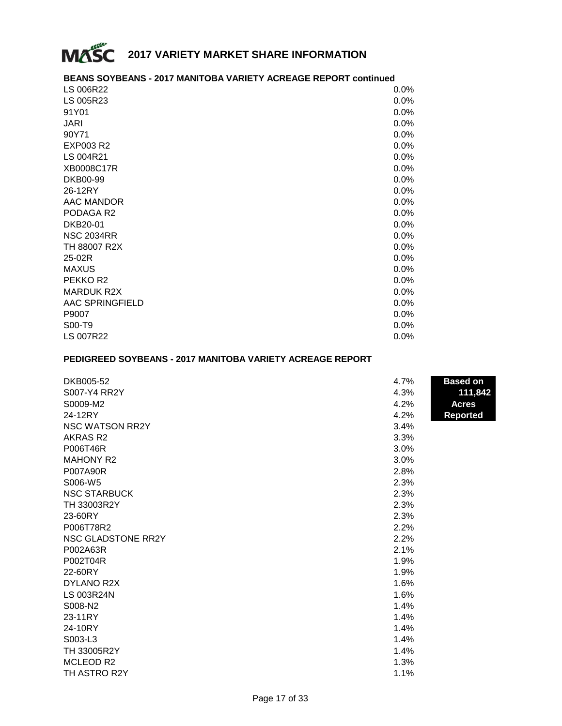

# **BEANS SOYBEANS - 2017 MANITOBA VARIETY ACREAGE REPORT continued**

| LS 006R22            | $0.0\%$ |
|----------------------|---------|
| LS 005R23            | 0.0%    |
| 91Y01                | 0.0%    |
| <b>JARI</b>          | 0.0%    |
| 90Y71                | 0.0%    |
| EXP003 R2            | 0.0%    |
| LS 004R21            | 0.0%    |
| XB0008C17R           | $0.0\%$ |
| DKB00-99             | 0.0%    |
| 26-12RY              | 0.0%    |
| AAC MANDOR           | $0.0\%$ |
| PODAGA R2            | $0.0\%$ |
| DKB20-01             | 0.0%    |
| <b>NSC 2034RR</b>    | $0.0\%$ |
| TH 88007 R2X         | $0.0\%$ |
| 25-02R               | 0.0%    |
| <b>MAXUS</b>         | 0.0%    |
| PEKKO R <sub>2</sub> | 0.0%    |
| <b>MARDUK R2X</b>    | $0.0\%$ |
| AAC SPRINGFIELD      | 0.0%    |
| P9007                | $0.0\%$ |
| S00-T9               | 0.0%    |
| <b>LS 007R22</b>     | $0.0\%$ |

# **PEDIGREED SOYBEANS - 2017 MANITOBA VARIETY ACREAGE REPORT**

| DKB005-52              | 4.7% | <b>Based on</b> |
|------------------------|------|-----------------|
| S007-Y4 RR2Y           | 4.3% | 111,842         |
| S0009-M2               | 4.2% | <b>Acres</b>    |
| 24-12RY                | 4.2% | <b>Reported</b> |
| <b>NSC WATSON RR2Y</b> | 3.4% |                 |
| AKRAS R <sub>2</sub>   | 3.3% |                 |
| P006T46R               | 3.0% |                 |
| <b>MAHONY R2</b>       | 3.0% |                 |
| P007A90R               | 2.8% |                 |
| S006-W5                | 2.3% |                 |
| <b>NSC STARBUCK</b>    | 2.3% |                 |
| TH 33003R2Y            | 2.3% |                 |
| 23-60RY                | 2.3% |                 |
| P006T78R2              | 2.2% |                 |
| NSC GLADSTONE RR2Y     | 2.2% |                 |
| P002A63R               | 2.1% |                 |
| P002T04R               | 1.9% |                 |
| 22-60RY                | 1.9% |                 |
| DYLANO R2X             | 1.6% |                 |
| <b>LS 003R24N</b>      | 1.6% |                 |
| S008-N2                | 1.4% |                 |
| 23-11RY                | 1.4% |                 |
| 24-10RY                | 1.4% |                 |
| S003-L3                | 1.4% |                 |
| TH 33005R2Y            | 1.4% |                 |
| MCLEOD R2              | 1.3% |                 |
| TH ASTRO R2Y           | 1.1% |                 |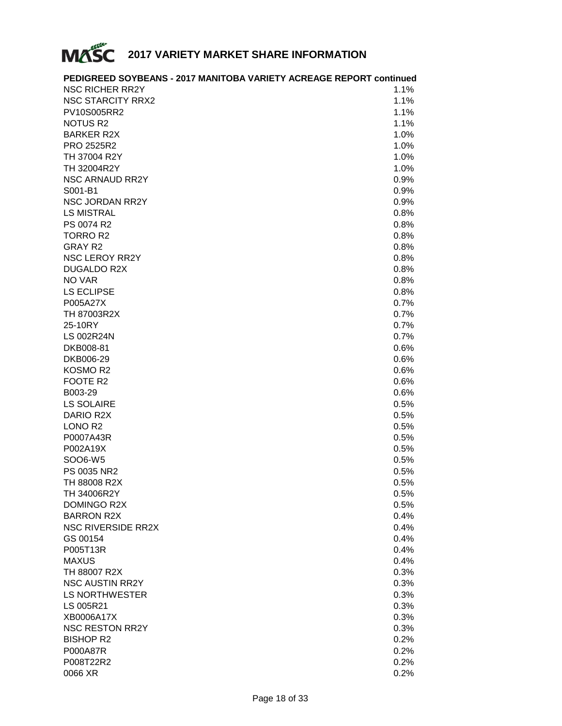

|                           | PEDIGREED SOYBEANS - 2017 MANITOBA VARIETY ACREAGE REPORT continued |
|---------------------------|---------------------------------------------------------------------|
| <b>NSC RICHER RR2Y</b>    | 1.1%                                                                |
| <b>NSC STARCITY RRX2</b>  | 1.1%                                                                |
| PV10S005RR2               | 1.1%                                                                |
| <b>NOTUS R2</b>           | 1.1%                                                                |
| <b>BARKER R2X</b>         | 1.0%                                                                |
| PRO 2525R2                | 1.0%                                                                |
| TH 37004 R2Y              | 1.0%                                                                |
| TH 32004R2Y               | 1.0%                                                                |
| <b>NSC ARNAUD RR2Y</b>    | 0.9%                                                                |
| S001-B1                   | 0.9%                                                                |
| <b>NSC JORDAN RR2Y</b>    | 0.9%                                                                |
| <b>LS MISTRAL</b>         | 0.8%                                                                |
| PS 0074 R2                | 0.8%                                                                |
| <b>TORRO R2</b>           | 0.8%                                                                |
| <b>GRAY R2</b>            | 0.8%                                                                |
| <b>NSC LEROY RR2Y</b>     | 0.8%                                                                |
| <b>DUGALDO R2X</b>        | 0.8%                                                                |
| NO VAR                    | 0.8%                                                                |
| <b>LS ECLIPSE</b>         | 0.8%                                                                |
| P005A27X                  | 0.7%                                                                |
| TH 87003R2X               | 0.7%                                                                |
| 25-10RY                   | 0.7%                                                                |
| <b>LS 002R24N</b>         | 0.7%                                                                |
| DKB008-81                 | 0.6%                                                                |
| DKB006-29                 | 0.6%                                                                |
| KOSMO R2                  | 0.6%                                                                |
| FOOTE R2                  | 0.6%                                                                |
| B003-29                   | 0.6%                                                                |
| <b>LS SOLAIRE</b>         | 0.5%                                                                |
| DARIO R2X                 | 0.5%                                                                |
| LONO <sub>R2</sub>        | 0.5%                                                                |
| P0007A43R                 | 0.5%                                                                |
| P002A19X                  | 0.5%                                                                |
| SOO6-W5                   | 0.5%                                                                |
| PS 0035 NR2               | 0.5%                                                                |
| TH 88008 R2X              | 0.5%                                                                |
| TH 34006R2Y               | 0.5%                                                                |
| DOMINGO R2X               | 0.5%                                                                |
| <b>BARRON R2X</b>         | 0.4%                                                                |
| <b>NSC RIVERSIDE RR2X</b> | 0.4%                                                                |
| GS 00154                  | 0.4%                                                                |
| P005T13R                  | 0.4%                                                                |
| <b>MAXUS</b>              | 0.4%                                                                |
| TH 88007 R2X              | 0.3%                                                                |
| <b>NSC AUSTIN RR2Y</b>    | 0.3%                                                                |
| LS NORTHWESTER            | 0.3%                                                                |
| LS 005R21                 | 0.3%                                                                |
| XB0006A17X                | 0.3%                                                                |
| <b>NSC RESTON RR2Y</b>    | 0.3%                                                                |
| <b>BISHOP R2</b>          | 0.2%                                                                |
| P000A87R                  | 0.2%                                                                |
| P008T22R2                 | 0.2%                                                                |
| 0066 XR                   | 0.2%                                                                |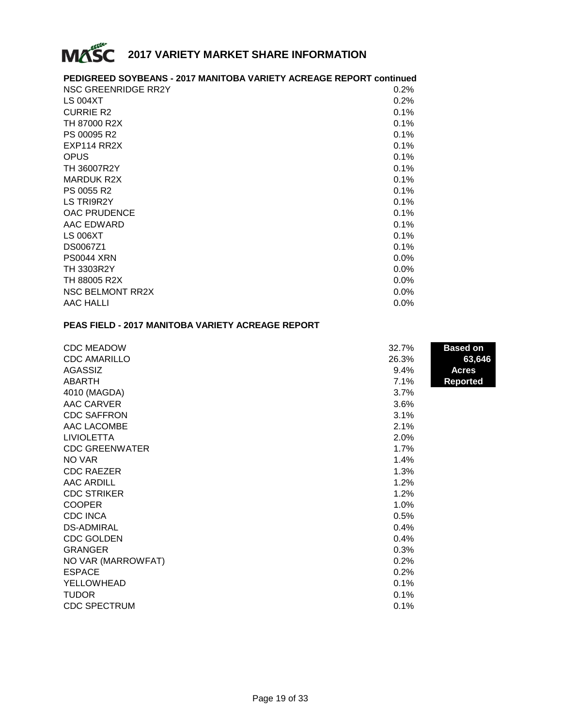

# **PEDIGREED SOYBEANS - 2017 MANITOBA VARIETY ACREAGE REPORT continued**

| NSC GREENRIDGE RR2Y     | 0.2% |
|-------------------------|------|
| LS 004XT                | 0.2% |
| <b>CURRIE R2</b>        | 0.1% |
| TH 87000 R2X            | 0.1% |
| PS 00095 R2             | 0.1% |
| EXP114 RR2X             | 0.1% |
| <b>OPUS</b>             | 0.1% |
| TH 36007R2Y             | 0.1% |
| <b>MARDUK R2X</b>       | 0.1% |
| PS 0055 R2              | 0.1% |
| LS TRI9R2Y              | 0.1% |
| <b>OAC PRUDENCE</b>     | 0.1% |
| AAC EDWARD              | 0.1% |
| <b>LS 006XT</b>         | 0.1% |
| DS0067Z1                | 0.1% |
| <b>PS0044 XRN</b>       | 0.0% |
| <b>TH 3303R2Y</b>       | 0.0% |
| TH 88005 R2X            | 0.0% |
| <b>NSC BELMONT RR2X</b> | 0.0% |
| AAC HALLI               | 0.0% |

#### **PEAS FIELD - 2017 MANITOBA VARIETY ACREAGE REPORT**

| <b>CDC MEADOW</b>     | 32.7% | <b>Based on</b> |
|-----------------------|-------|-----------------|
| <b>CDC AMARILLO</b>   | 26.3% | 63,646          |
| AGASSIZ               | 9.4%  | Acres           |
| ABARTH                | 7.1%  | <b>Reported</b> |
| 4010 (MAGDA)          | 3.7%  |                 |
| AAC CARVER            | 3.6%  |                 |
| <b>CDC SAFFRON</b>    | 3.1%  |                 |
| AAC LACOMBE           | 2.1%  |                 |
| <b>LIVIOLETTA</b>     | 2.0%  |                 |
| <b>CDC GREENWATER</b> | 1.7%  |                 |
| NO VAR                | 1.4%  |                 |
| <b>CDC RAEZER</b>     | 1.3%  |                 |
| <b>AAC ARDILL</b>     | 1.2%  |                 |
| <b>CDC STRIKER</b>    | 1.2%  |                 |
| <b>COOPER</b>         | 1.0%  |                 |
| <b>CDC INCA</b>       | 0.5%  |                 |
| <b>DS-ADMIRAL</b>     | 0.4%  |                 |
| <b>CDC GOLDEN</b>     | 0.4%  |                 |
| <b>GRANGER</b>        | 0.3%  |                 |
| NO VAR (MARROWFAT)    | 0.2%  |                 |
| <b>ESPACE</b>         | 0.2%  |                 |
| YELLOWHEAD            | 0.1%  |                 |
| <b>TUDOR</b>          | 0.1%  |                 |
| <b>CDC SPECTRUM</b>   | 0.1%  |                 |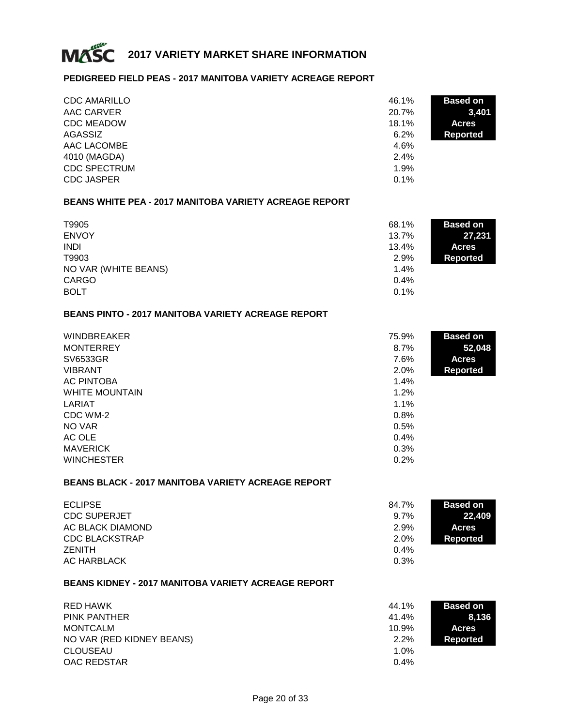

### **PEDIGREED FIELD PEAS - 2017 MANITOBA VARIETY ACREAGE REPORT**

| <b>CDC AMARILLO</b> | 46.1% | <b>Based on</b> |
|---------------------|-------|-----------------|
| AAC CARVER          | 20.7% | 3,401           |
| <b>CDC MEADOW</b>   | 18.1% | <b>Acres</b>    |
| AGASSIZ             | 6.2%  | Reported        |
| AAC LACOMBE         | 4.6%  |                 |
| 4010 (MAGDA)        | 2.4%  |                 |
| <b>CDC SPECTRUM</b> | 1.9%  |                 |
| <b>CDC JASPER</b>   | 0.1%  |                 |

#### **BEANS WHITE PEA - 2017 MANITOBA VARIETY ACREAGE REPORT**

| T9905                | 68.1% | <b>Based on</b> |
|----------------------|-------|-----------------|
| <b>ENVOY</b>         | 13.7% | 27,231          |
| <b>INDI</b>          | 13.4% | <b>Acres</b>    |
| T9903                | 2.9%  | Reported        |
| NO VAR (WHITE BEANS) | 1.4%  |                 |
| CARGO                | 0.4%  |                 |
| <b>BOLT</b>          | 0.1%  |                 |

## **BEANS PINTO - 2017 MANITOBA VARIETY ACREAGE REPORT**

| <b>WINDBREAKER</b>    | 75.9% | <b>Based on</b> |
|-----------------------|-------|-----------------|
| <b>MONTERREY</b>      | 8.7%  | 52,048          |
| SV6533GR              | 7.6%  | <b>Acres</b>    |
| <b>VIBRANT</b>        | 2.0%  | <b>Reported</b> |
| AC PINTOBA            | 1.4%  |                 |
| <b>WHITE MOUNTAIN</b> | 1.2%  |                 |
| LARIAT                | 1.1%  |                 |
| CDC WM-2              | 0.8%  |                 |
| NO VAR                | 0.5%  |                 |
| AC OLE                | 0.4%  |                 |
| <b>MAVERICK</b>       | 0.3%  |                 |
| <b>WINCHESTER</b>     | 0.2%  |                 |

#### **BEANS BLACK - 2017 MANITOBA VARIETY ACREAGE REPORT**

| <b>ECLIPSE</b>        | 84.7% | <b>Based on</b> |
|-----------------------|-------|-----------------|
| <b>CDC SUPERJET</b>   | 9.7%  | 22.409          |
| AC BLACK DIAMOND      | 2.9%  | <b>Acres</b>    |
| <b>CDC BLACKSTRAP</b> | 2.0%  | Reported        |
| <b>ZENITH</b>         | 0.4%  |                 |
| AC HARBLACK           | 0.3%  |                 |

#### **BEANS KIDNEY - 2017 MANITOBA VARIETY ACREAGE REPORT**

| RED HAWK                  | 44.1% | <b>Based on</b> |
|---------------------------|-------|-----------------|
| <b>PINK PANTHER</b>       | 41.4% | 8,136           |
| <b>MONTCALM</b>           | 10.9% | <b>Acres</b>    |
| NO VAR (RED KIDNEY BEANS) | 2.2%  | Reported        |
| <b>CLOUSEAU</b>           | 1.0%  |                 |
| OAC REDSTAR               | 0.4%  |                 |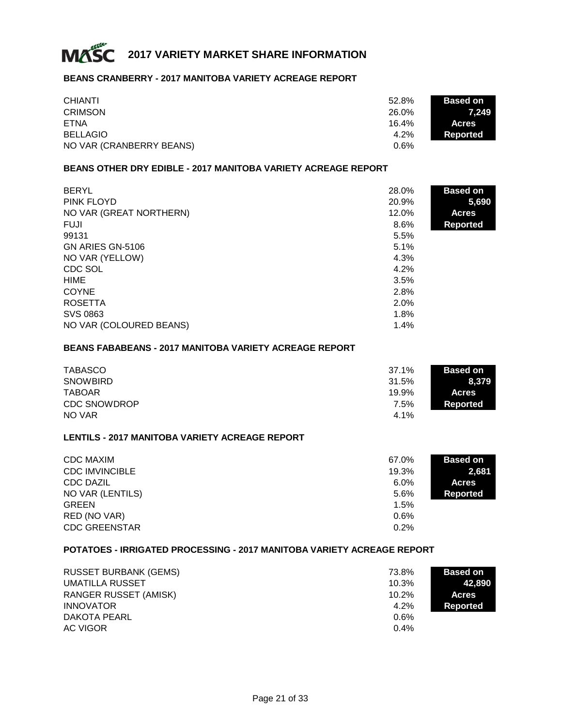

#### **BEANS CRANBERRY - 2017 MANITOBA VARIETY ACREAGE REPORT**

| <b>CHIANTI</b>           | 52.8% | <b>Based on</b> |
|--------------------------|-------|-----------------|
| <b>CRIMSON</b>           | 26.0% | 7.249           |
| ETNA                     | 16.4% | <b>Acres</b>    |
| <b>BELLAGIO</b>          | 4.2%  | Reported        |
| NO VAR (CRANBERRY BEANS) | 0.6%  |                 |

#### **BEANS OTHER DRY EDIBLE - 2017 MANITOBA VARIETY ACREAGE REPORT**

| <b>BERYL</b>            | 28.0% | <b>Based on</b> |
|-------------------------|-------|-----------------|
| PINK FLOYD              | 20.9% | 5,690           |
| NO VAR (GREAT NORTHERN) | 12.0% | <b>Acres</b>    |
| <b>FUJI</b>             | 8.6%  | Reported        |
| 99131                   | 5.5%  |                 |
| GN ARIES GN-5106        | 5.1%  |                 |
| NO VAR (YELLOW)         | 4.3%  |                 |
| CDC SOL                 | 4.2%  |                 |
| <b>HIME</b>             | 3.5%  |                 |
| <b>COYNE</b>            | 2.8%  |                 |
| <b>ROSETTA</b>          | 2.0%  |                 |
| SVS 0863                | 1.8%  |                 |
| NO VAR (COLOURED BEANS) | 1.4%  |                 |

#### **BEANS FABABEANS - 2017 MANITOBA VARIETY ACREAGE REPORT**

| <b>TABASCO</b>      | 37.1% | <b>Based on</b> |
|---------------------|-------|-----------------|
| <b>SNOWBIRD</b>     | 31.5% | 8.379           |
| <b>TABOAR</b>       | 19.9% | <b>Acres</b>    |
| <b>CDC SNOWDROP</b> | 7.5%  | Reported        |
| NO VAR              | 4.1%  |                 |

#### **LENTILS - 2017 MANITOBA VARIETY ACREAGE REPORT**

| <b>CDC MAXIM</b>      | 67.0% | <b>Based on</b> |
|-----------------------|-------|-----------------|
| <b>CDC IMVINCIBLE</b> | 19.3% | 2,681           |
| <b>CDC DAZIL</b>      | 6.0%  | <b>Acres</b>    |
| NO VAR (LENTILS)      | 5.6%  | Reported        |
| <b>GREEN</b>          | 1.5%  |                 |
| RED (NO VAR)          | 0.6%  |                 |
| <b>CDC GREENSTAR</b>  | 0.2%  |                 |

#### **POTATOES - IRRIGATED PROCESSING - 2017 MANITOBA VARIETY ACREAGE REPORT**

| <b>RUSSET BURBANK (GEMS)</b> | 73.8%   | <b>Based on</b> |
|------------------------------|---------|-----------------|
| UMATILLA RUSSET              | 10.3%   | 42.890          |
| RANGER RUSSET (AMISK)        | 10.2%   | <b>Acres</b>    |
| <b>INNOVATOR</b>             | 4.2%    | Reported        |
| DAKOTA PEARL                 | $0.6\%$ |                 |
| AC VIGOR                     | 0.4%    |                 |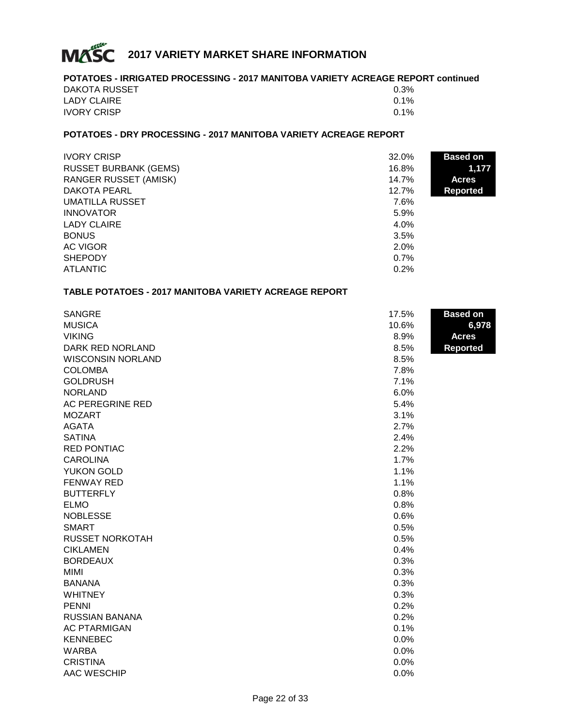

# **POTATOES - IRRIGATED PROCESSING - 2017 MANITOBA VARIETY ACREAGE REPORT continued** DAKOTA RUSSET 80.3% LADY CLAIRE  $0.1\%$ IVORY CRISP  $0.1\%$

# **POTATOES - DRY PROCESSING - 2017 MANITOBA VARIETY ACREAGE REPORT**

| <b>IVORY CRISP</b>           | 32.0% | <b>Based on</b> |
|------------------------------|-------|-----------------|
| <b>RUSSET BURBANK (GEMS)</b> | 16.8% | 1,177           |
| <b>RANGER RUSSET (AMISK)</b> | 14.7% | <b>Acres</b>    |
| DAKOTA PEARL                 | 12.7% | <b>Reported</b> |
| <b>UMATILLA RUSSET</b>       | 7.6%  |                 |
| <b>INNOVATOR</b>             | 5.9%  |                 |
| LADY CLAIRE                  | 4.0%  |                 |
| <b>BONUS</b>                 | 3.5%  |                 |
| AC VIGOR                     | 2.0%  |                 |
| <b>SHEPODY</b>               | 0.7%  |                 |
| <b>ATLANTIC</b>              | 0.2%  |                 |

#### **TABLE POTATOES - 2017 MANITOBA VARIETY ACREAGE REPORT**

| 6,978<br><b>Acres</b><br><b>Reported</b> |
|------------------------------------------|
|                                          |
|                                          |
|                                          |
|                                          |
|                                          |
|                                          |
|                                          |
|                                          |
|                                          |
|                                          |
|                                          |
|                                          |
|                                          |
|                                          |
|                                          |
|                                          |
|                                          |
|                                          |
|                                          |
|                                          |
|                                          |
|                                          |
|                                          |
|                                          |
|                                          |
|                                          |
|                                          |
|                                          |
|                                          |
|                                          |
|                                          |
|                                          |
|                                          |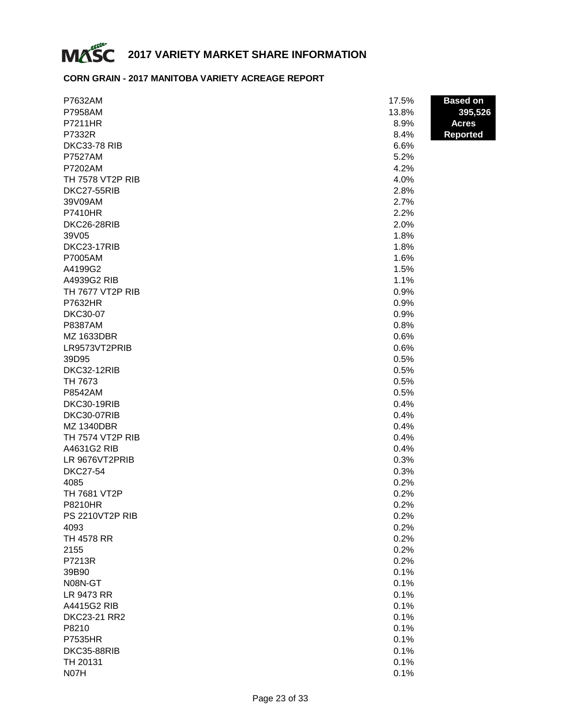

# **CORN GRAIN - 2017 MANITOBA VARIETY ACREAGE REPORT**

| P7632AM                | 17.5% | <b>Based on</b> |
|------------------------|-------|-----------------|
| P7958AM                | 13.8% | 395,526         |
| P7211HR                | 8.9%  | <b>Acres</b>    |
| P7332R                 | 8.4%  | <b>Reported</b> |
| <b>DKC33-78 RIB</b>    | 6.6%  |                 |
| <b>P7527AM</b>         | 5.2%  |                 |
| P7202AM                | 4.2%  |                 |
| TH 7578 VT2P RIB       | 4.0%  |                 |
| DKC27-55RIB            | 2.8%  |                 |
| 39V09AM                | 2.7%  |                 |
| <b>P7410HR</b>         | 2.2%  |                 |
| DKC26-28RIB            | 2.0%  |                 |
| 39V05                  | 1.8%  |                 |
| DKC23-17RIB            | 1.8%  |                 |
| P7005AM                | 1.6%  |                 |
| A4199G2                | 1.5%  |                 |
| A4939G2 RIB            | 1.1%  |                 |
| TH 7677 VT2P RIB       | 0.9%  |                 |
| P7632HR                | 0.9%  |                 |
| <b>DKC30-07</b>        | 0.9%  |                 |
| P8387AM                | 0.8%  |                 |
| MZ 1633DBR             | 0.6%  |                 |
| LR9573VT2PRIB          | 0.6%  |                 |
| 39D95                  | 0.5%  |                 |
| DKC32-12RIB            | 0.5%  |                 |
| TH 7673                | 0.5%  |                 |
| P8542AM                | 0.5%  |                 |
| DKC30-19RIB            | 0.4%  |                 |
| DKC30-07RIB            | 0.4%  |                 |
| <b>MZ 1340DBR</b>      | 0.4%  |                 |
| TH 7574 VT2P RIB       | 0.4%  |                 |
| A4631G2 RIB            | 0.4%  |                 |
| LR 9676VT2PRIB         | 0.3%  |                 |
| <b>DKC27-54</b>        | 0.3%  |                 |
| 4085                   | 0.2%  |                 |
| TH 7681 VT2P           | 0.2%  |                 |
| <b>P8210HR</b>         | 0.2%  |                 |
| <b>PS 2210VT2P RIB</b> | 0.2%  |                 |
| 4093                   | 0.2%  |                 |
| <b>TH 4578 RR</b>      | 0.2%  |                 |
| 2155                   | 0.2%  |                 |
| P7213R                 | 0.2%  |                 |
| 39B90                  | 0.1%  |                 |
| N08N-GT                | 0.1%  |                 |
| LR 9473 RR             | 0.1%  |                 |
| A4415G2 RIB            | 0.1%  |                 |
| DKC23-21 RR2           | 0.1%  |                 |
| P8210                  | 0.1%  |                 |
| <b>P7535HR</b>         | 0.1%  |                 |
| DKC35-88RIB            | 0.1%  |                 |
| TH 20131               | 0.1%  |                 |
| N07H                   | 0.1%  |                 |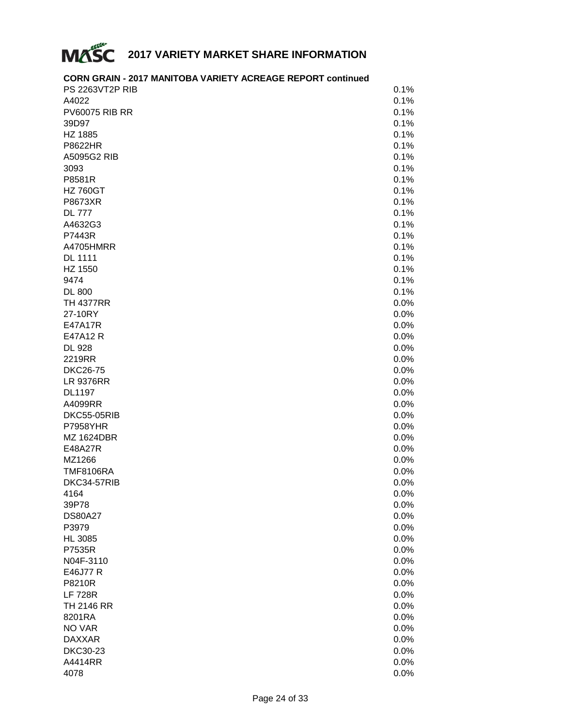

# **CORN GRAIN - 2017 MANITOBA VARIETY ACREAGE REPORT continued**

| PS 2263VT2P RIB       | 0.1% |
|-----------------------|------|
| A4022                 | 0.1% |
| <b>PV60075 RIB RR</b> | 0.1% |
| 39D97                 | 0.1% |
| HZ 1885               | 0.1% |
| P8622HR               | 0.1% |
| A5095G2 RIB           | 0.1% |
| 3093                  | 0.1% |
| P8581R                | 0.1% |
| <b>HZ 760GT</b>       | 0.1% |
| P8673XR               | 0.1% |
| <b>DL 777</b>         | 0.1% |
| A4632G3               | 0.1% |
| P7443R                | 0.1% |
| A4705HMRR             |      |
|                       | 0.1% |
| <b>DL 1111</b>        | 0.1% |
| HZ 1550               | 0.1% |
| 9474                  | 0.1% |
| <b>DL 800</b>         | 0.1% |
| <b>TH 4377RR</b>      | 0.0% |
| 27-10RY               | 0.0% |
| E47A17R               | 0.0% |
| E47A12 R              | 0.0% |
| <b>DL 928</b>         | 0.0% |
| 2219RR                | 0.0% |
| <b>DKC26-75</b>       | 0.0% |
| <b>LR 9376RR</b>      | 0.0% |
| <b>DL1197</b>         | 0.0% |
| A4099RR               | 0.0% |
| DKC55-05RIB           | 0.0% |
| <b>P7958YHR</b>       | 0.0% |
| <b>MZ 1624DBR</b>     | 0.0% |
| E48A27R               | 0.0% |
| MZ1266                | 0.0% |
| <b>TMF8106RA</b>      | 0.0% |
| DKC34-57RIB           | 0.0% |
| 4164                  | 0.0% |
| 39P78                 | 0.0% |
|                       |      |
| <b>DS80A27</b>        | 0.0% |
| P3979                 | 0.0% |
| <b>HL 3085</b>        | 0.0% |
| P7535R                | 0.0% |
| N04F-3110             | 0.0% |
| E46J77 R              | 0.0% |
| P8210R                | 0.0% |
| <b>LF 728R</b>        | 0.0% |
| <b>TH 2146 RR</b>     | 0.0% |
| 8201RA                | 0.0% |
| NO VAR                | 0.0% |
| <b>DAXXAR</b>         | 0.0% |
| DKC30-23              | 0.0% |
| A4414RR               | 0.0% |
| 4078                  | 0.0% |
|                       |      |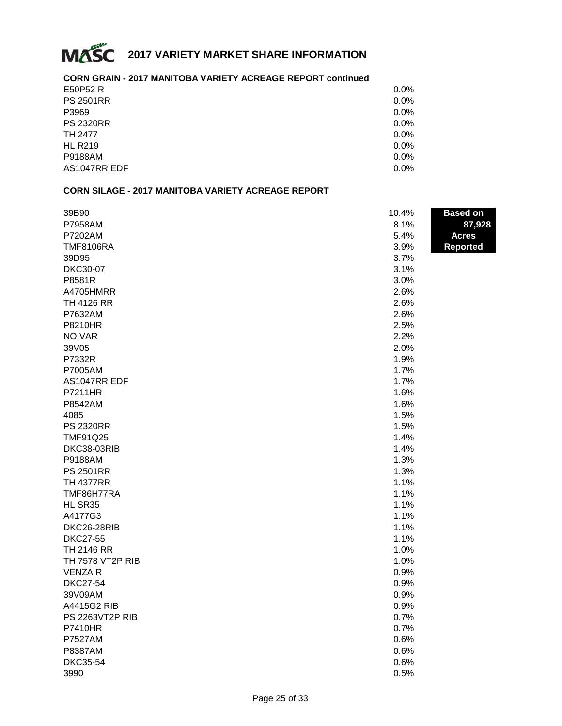

# **CORN GRAIN - 2017 MANITOBA VARIETY ACREAGE REPORT continued**

| E50P52 R         | 0.0% |
|------------------|------|
| <b>PS 2501RR</b> | 0.0% |
| P3969            | 0.0% |
| <b>PS 2320RR</b> | 0.0% |
| TH 2477          | 0.0% |
| <b>HL R219</b>   | 0.0% |
| P9188AM          | 0.0% |
| AS1047RR EDF     | 0.0% |
|                  |      |

#### **CORN SILAGE - 2017 MANITOBA VARIETY ACREAGE REPORT**

| 39B90                  | 10.4% | <b>Based on</b> |
|------------------------|-------|-----------------|
| P7958AM                | 8.1%  | 87,928          |
| P7202AM                | 5.4%  | <b>Acres</b>    |
| <b>TMF8106RA</b>       | 3.9%  | <b>Reported</b> |
| 39D95                  | 3.7%  |                 |
| <b>DKC30-07</b>        | 3.1%  |                 |
| P8581R                 | 3.0%  |                 |
| A4705HMRR              | 2.6%  |                 |
| <b>TH 4126 RR</b>      | 2.6%  |                 |
| P7632AM                | 2.6%  |                 |
| <b>P8210HR</b>         | 2.5%  |                 |
| NO VAR                 | 2.2%  |                 |
| 39V05                  | 2.0%  |                 |
| P7332R                 | 1.9%  |                 |
| P7005AM                | 1.7%  |                 |
| AS1047RR EDF           | 1.7%  |                 |
| P7211HR                | 1.6%  |                 |
| P8542AM                | 1.6%  |                 |
| 4085                   | 1.5%  |                 |
| <b>PS 2320RR</b>       | 1.5%  |                 |
| <b>TMF91Q25</b>        | 1.4%  |                 |
| DKC38-03RIB            | 1.4%  |                 |
| P9188AM                | 1.3%  |                 |
| <b>PS 2501RR</b>       | 1.3%  |                 |
| <b>TH 4377RR</b>       | 1.1%  |                 |
| TMF86H77RA             | 1.1%  |                 |
| HL SR35                | 1.1%  |                 |
| A4177G3                | 1.1%  |                 |
| DKC26-28RIB            | 1.1%  |                 |
| <b>DKC27-55</b>        | 1.1%  |                 |
| TH 2146 RR             | 1.0%  |                 |
| TH 7578 VT2P RIB       | 1.0%  |                 |
| <b>VENZAR</b>          | 0.9%  |                 |
| <b>DKC27-54</b>        | 0.9%  |                 |
| 39V09AM                | 0.9%  |                 |
| A4415G2 RIB            | 0.9%  |                 |
| <b>PS 2263VT2P RIB</b> | 0.7%  |                 |
| <b>P7410HR</b>         | 0.7%  |                 |
| <b>P7527AM</b>         | 0.6%  |                 |
| P8387AM                | 0.6%  |                 |
| <b>DKC35-54</b>        | 0.6%  |                 |
| 3990                   | 0.5%  |                 |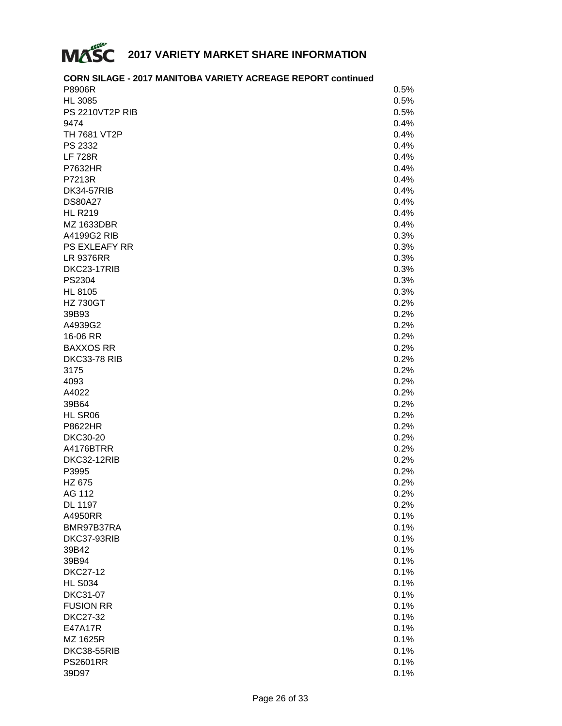

#### **CORN SILAGE - 2017 MANITOBA VARIETY ACREAGE REPORT continued**  $P8906R$  . 0.5%  $HL 3085$  . 0.5% PS 2210VT2P RIB # 0.5%  $9474$  0.4% TH 7681 VT2P # 0.4%  $PS\,2332$   $0.4\%$ LF 728R  $0.4\%$  $P7632HR$  . 0.4% **P7213R**  $0.4\%$  $DK34-57RIB$   $0.4\%$  $DS80A27$  0.4%  $HL$  R219  $0.4\%$ MZ 1633DBR # 0.4% A4199G2 RIB # 0.3% PS EXLEAFY RR # 0.3% LR 9376RR # 0.3% DKC23-17RIB # 0.3%  $PS2304$  0.3%  $HL 8105$   $0.3\%$  $\,$  HZ 730GT  $\,$  0.2%  $\,$  $39B93$   $0.2\%$  $\,$ A4939G2 $\,$  0.2%  $\,$ 16-06 RR  $\,$  0.2%  $\,$ BAXXOS RR # 0.2% DKC33-78 RIB # 0.2%  $3175$  0.2% 4093 # 0.2%  $\,$  A4022  $\,$  0.2%  $\,$  0.2%  $\,$  0.2%  $\,$  0.2%  $\,$  0.2%  $\,$  0.2%  $\,$  0.2%  $\,$  0.2%  $\,$  0.2%  $\,$  0.2%  $\,$  0.2%  $\,$  0.2%  $\,$  0.2%  $\,$  0.2%  $\,$  0.2%  $\,$  0.2%  $\,$  0.2%  $\,$  0.2%  $\,$  0.2%  $\,$  0.2%  $\,$  0.2%  $39B64$  . 0.2%  $HL$  SR06  $0.2\%$  $P8622HR$  0.2% DKC30-20 # 0.2% A4176BTRR # 0.2%  $DKC32-12RIB$   $0.2\%$  $P3995$   $0.2\%$ HZ 675  $\sim$  0.2% AG 112  $0.2\%$  $\rm DL$  1197  $\rm 0.2\%$  $\,$  A4950RR  $\,$  0.1%  $\,$ BMR97B37RA # 0.1%  $DKC37-93RIB$   $0.1\%$  $39B42$  0.1%  $39B94$  . Only the contract of the contract of the contract of the contract of the contract of the contract of the contract of the contract of the contract of the contract of the contract of the contract of the contract o  $DKC27-12$  . 0.1%  $HL$  S034  $0.1\%$  $DKC31-07$  0.1% FUSION RR # 0.1%  $DKC27-32$  . 0.1%  $E47A17R$  0.1% MZ 1625R  $\sim$  0.1%  $DKC38-55RIB$   $0.1\%$ PS2601RR # 0.1%  $39D97$  . Only a set of the contract of the contract of the contract of the contract of the contract of the contract of the contract of the contract of the contract of the contract of the contract of the contract of the c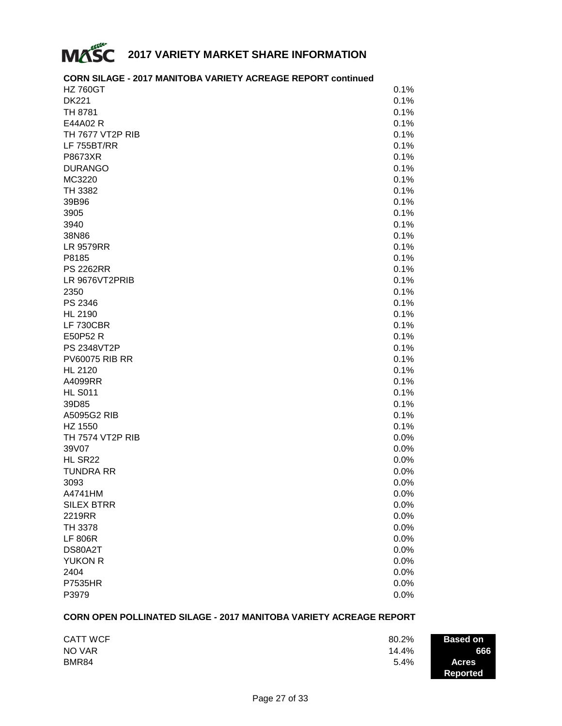

#### **CORN SILAGE - 2017 MANITOBA VARIETY ACREAGE REPORT continued**  $\,$  HZ 760GT  $\,$  0.1%  $\,$  $DK221$  .  $0.1\%$ **TH** 8781  $0.1\%$  $E44A02 R$  0.1% TH 7677 VT2P RIB # 0.1% LF 755BT/RR  $\qquad \qquad 0.1\%$  $P8673XR$  0.1%  $DURANGO$   $0.1\%$  $MC3220$  0.1% TH 3382  $0.1\%$  $39B96$  . Only the contract of the contract of the contract of the contract of the contract of the contract of the contract of the contract of the contract of the contract of the contract of the contract of the contract o 3905 # 0.1%  $3940$  0.1% 38N86 # 0.1%  $LR$  9579RR  $0.1\%$ P8185 # 0.1% PS 2262RR # 0.1% LR 9676VT2PRIB # 0.1% 2350 # 0.1%  $PS\,2346$   $0.1\%$  $HL 2190$  . 0.1% LF 730CBR  $\qquad \qquad 0.1\%$  $E$ 50P52 R  $0.1\%$ PS 2348VT2P # 0.1% PV60075 RIB RR # 0.1%  $HL 2120$  . 0.1%  $\,$  A4099RR  $\,$  0.1%  $\,$  $HL$  S011  $0.1\%$ 39D85 # 0.1% A5095G2 RIB # 0.1%  $\,$  HZ 1550  $\,$  0.1%  $\,$ TH 7574 VT2P RIB # 0.0%  $39\sqrt{07}$  . Only the contract of the contract of the contract of the contract of the contract of the contract of the contract of the contract of the contract of the contract of the contract of the contract of the contrac  $HL$  SR22  $0.0\%$ TUNDRA RR # 0.0%  $3093$   $0.0\%$  $\,$  A4741HM  $\,$  0.0%  $\,$ SILEX BTRR # 0.0%  $2219RR$  . 0.0% TH 3378  $\,$  0.0%  $\,$  $\mathsf{LF}~806\mathsf{R} \hspace{1.5cm} 0.0\%$  $DS80A2T$  . Only a set of the contract of the contract of the contract of the contract of the contract of the contract of the contract of the contract of the contract of the contract of the contract of the contract of the YUKON R $\qquad \qquad \qquad 0.0\%$  $2404$   $0.0\%$  $P7535HR$  0.0%

### **CORN OPEN POLLINATED SILAGE - 2017 MANITOBA VARIETY ACREAGE REPORT**

 $P3979$  0.0%

| <b>CATT WCF</b> | 80.2% | <b>Based on</b>          |
|-----------------|-------|--------------------------|
| NO VAR          | 14.4% | 666                      |
| BMR84           | 5.4%  | <b>Acres</b><br>Reported |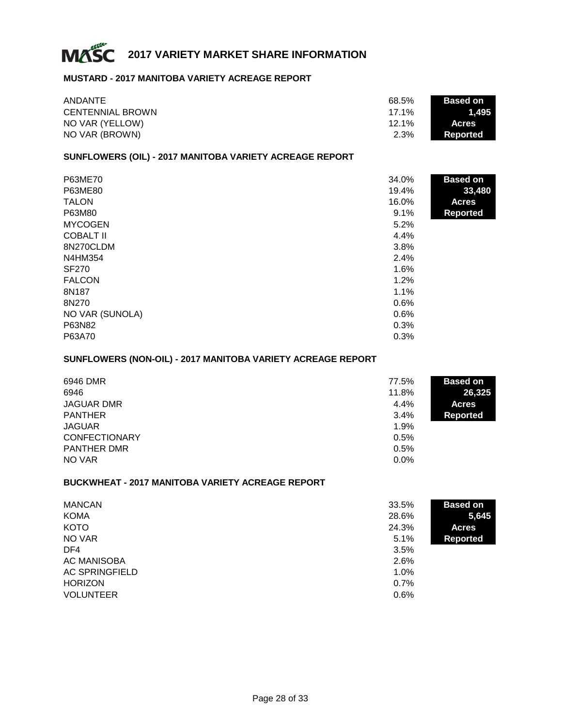

#### **MUSTARD - 2017 MANITOBA VARIETY ACREAGE REPORT**

| ANDANTE                 | 68.5%    | <b>Based on</b> |
|-------------------------|----------|-----------------|
| <b>CENTENNIAL BROWN</b> | $17.1\%$ | 1.495 '         |
| NO VAR (YELLOW)         | $12.1\%$ | <b>Acres</b>    |
| NO VAR (BROWN)          | 2.3%     | Reported        |

### **SUNFLOWERS (OIL) - 2017 MANITOBA VARIETY ACREAGE REPORT**

| P63ME70          | 34.0% | <b>Based on</b> |
|------------------|-------|-----------------|
| P63ME80          | 19.4% | 33,480          |
| <b>TALON</b>     | 16.0% | <b>Acres</b>    |
| P63M80           | 9.1%  | <b>Reported</b> |
| <b>MYCOGEN</b>   | 5.2%  |                 |
| <b>COBALT II</b> | 4.4%  |                 |
| 8N270CLDM        | 3.8%  |                 |
| N4HM354          | 2.4%  |                 |
| <b>SF270</b>     | 1.6%  |                 |
| <b>FALCON</b>    | 1.2%  |                 |
| 8N187            | 1.1%  |                 |
| 8N270            | 0.6%  |                 |
| NO VAR (SUNOLA)  | 0.6%  |                 |
| P63N82           | 0.3%  |                 |
| P63A70           | 0.3%  |                 |

# **SUNFLOWERS (NON-OIL) - 2017 MANITOBA VARIETY ACREAGE REPORT**

| 6946 DMR             | 77.5% | <b>Based on</b> |
|----------------------|-------|-----------------|
| 6946                 | 11.8% | 26,325          |
| <b>JAGUAR DMR</b>    | 4.4%  | <b>Acres</b>    |
| <b>PANTHER</b>       | 3.4%  | <b>Reported</b> |
| <b>JAGUAR</b>        | 1.9%  |                 |
| <b>CONFECTIONARY</b> | 0.5%  |                 |
| <b>PANTHER DMR</b>   | 0.5%  |                 |
| NO VAR               | 0.0%  |                 |

#### **BUCKWHEAT - 2017 MANITOBA VARIETY ACREAGE REPORT**

| <b>MANCAN</b>         | 33.5% | <b>Based on</b> |
|-----------------------|-------|-----------------|
| KOMA                  | 28.6% | 5,645           |
| <b>KOTO</b>           | 24.3% | <b>Acres</b>    |
| NO VAR                | 5.1%  | <b>Reported</b> |
| DF4                   | 3.5%  |                 |
| <b>AC MANISOBA</b>    | 2.6%  |                 |
| <b>AC SPRINGFIELD</b> | 1.0%  |                 |
| <b>HORIZON</b>        | 0.7%  |                 |
| <b>VOLUNTEER</b>      | 0.6%  |                 |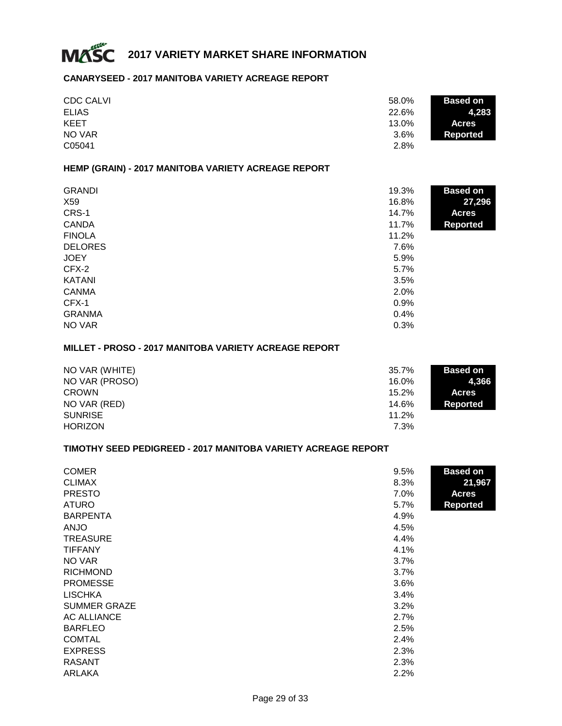

#### **CANARYSEED - 2017 MANITOBA VARIETY ACREAGE REPORT**

| <b>CDC CALVI</b> | 58.0%<br><b>Based on</b> |  |
|------------------|--------------------------|--|
| <b>ELIAS</b>     | 22.6%<br>4.283           |  |
| <b>KEET</b>      | 13.0%<br><b>Acres</b>    |  |
| NO VAR           | 3.6%<br>Reported         |  |
| C05041           | 2.8%                     |  |

#### **HEMP (GRAIN) - 2017 MANITOBA VARIETY ACREAGE REPORT**

| <b>GRANDI</b>  | 19.3% | <b>Based on</b> |
|----------------|-------|-----------------|
| X59            | 16.8% | 27,296          |
| CRS-1          | 14.7% | <b>Acres</b>    |
| <b>CANDA</b>   | 11.7% | <b>Reported</b> |
| <b>FINOLA</b>  | 11.2% |                 |
| <b>DELORES</b> | 7.6%  |                 |
| <b>JOEY</b>    | 5.9%  |                 |
| CFX-2          | 5.7%  |                 |
| <b>KATANI</b>  | 3.5%  |                 |
| <b>CANMA</b>   | 2.0%  |                 |
| CFX-1          | 0.9%  |                 |
| <b>GRANMA</b>  | 0.4%  |                 |
| NO VAR         | 0.3%  |                 |

#### **MILLET - PROSO - 2017 MANITOBA VARIETY ACREAGE REPORT**

| NO VAR (WHITE) | 35.7%<br><b>Based on</b> |       |
|----------------|--------------------------|-------|
| NO VAR (PROSO) | 16.0%                    | 4.366 |
| <b>CROWN</b>   | 15.2%<br><b>Acres</b>    |       |
| NO VAR (RED)   | 14.6%<br>Reported        |       |
| <b>SUNRISE</b> | 11.2%                    |       |
| <b>HORIZON</b> | 7.3%                     |       |

#### **TIMOTHY SEED PEDIGREED - 2017 MANITOBA VARIETY ACREAGE REPORT**

| <b>COMER</b>        | <b>Based on</b><br>9.5% |
|---------------------|-------------------------|
| <b>CLIMAX</b>       | 21,967<br>8.3%          |
| <b>PRESTO</b>       | 7.0%<br><b>Acres</b>    |
| <b>ATURO</b>        | 5.7%<br><b>Reported</b> |
| <b>BARPENTA</b>     | 4.9%                    |
| <b>ANJO</b>         | 4.5%                    |
| <b>TREASURE</b>     | 4.4%                    |
| <b>TIFFANY</b>      | 4.1%                    |
| NO VAR              | 3.7%                    |
| <b>RICHMOND</b>     | 3.7%                    |
| <b>PROMESSE</b>     | 3.6%                    |
| <b>LISCHKA</b>      | 3.4%                    |
| <b>SUMMER GRAZE</b> | 3.2%                    |
| AC ALLIANCE         | 2.7%                    |
| <b>BARFLEO</b>      | 2.5%                    |
| <b>COMTAL</b>       | 2.4%                    |
| <b>EXPRESS</b>      | 2.3%                    |
| <b>RASANT</b>       | 2.3%                    |
| <b>ARLAKA</b>       | 2.2%                    |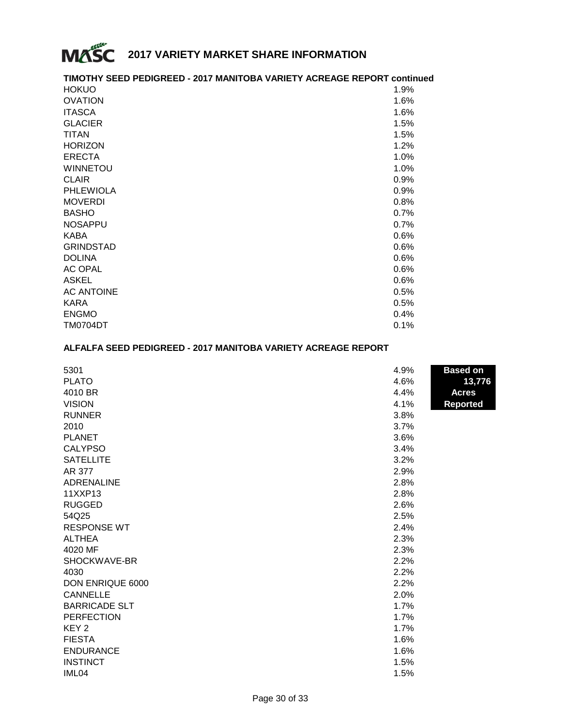

# **TIMOTHY SEED PEDIGREED - 2017 MANITOBA VARIETY ACREAGE REPORT continued**

| <b>HOKUO</b>      | 1.9% |
|-------------------|------|
| <b>OVATION</b>    | 1.6% |
| <b>ITASCA</b>     | 1.6% |
| <b>GLACIER</b>    | 1.5% |
| <b>TITAN</b>      | 1.5% |
| <b>HORIZON</b>    | 1.2% |
| <b>ERECTA</b>     | 1.0% |
| <b>WINNETOU</b>   | 1.0% |
| <b>CLAIR</b>      | 0.9% |
| <b>PHLEWIOLA</b>  | 0.9% |
| <b>MOVERDI</b>    | 0.8% |
| <b>BASHO</b>      | 0.7% |
| <b>NOSAPPU</b>    | 0.7% |
| <b>KABA</b>       | 0.6% |
| <b>GRINDSTAD</b>  | 0.6% |
| <b>DOLINA</b>     | 0.6% |
| <b>AC OPAL</b>    | 0.6% |
| <b>ASKEL</b>      | 0.6% |
| <b>AC ANTOINE</b> | 0.5% |
| <b>KARA</b>       | 0.5% |
| <b>ENGMO</b>      | 0.4% |
| <b>TM0704DT</b>   | 0.1% |

## **ALFALFA SEED PEDIGREED - 2017 MANITOBA VARIETY ACREAGE REPORT**

| 5301                    | 4.9% | <b>Based on</b> |
|-------------------------|------|-----------------|
| <b>PLATO</b>            | 4.6% | 13,776          |
| 4010 BR                 | 4.4% | <b>Acres</b>    |
| <b>VISION</b>           | 4.1% | <b>Reported</b> |
| <b>RUNNER</b>           | 3.8% |                 |
| 2010                    | 3.7% |                 |
| <b>PLANET</b>           | 3.6% |                 |
| <b>CALYPSO</b>          | 3.4% |                 |
| <b>SATELLITE</b>        | 3.2% |                 |
| AR 377                  | 2.9% |                 |
| <b>ADRENALINE</b>       | 2.8% |                 |
| 11XXP13                 | 2.8% |                 |
| <b>RUGGED</b>           | 2.6% |                 |
| 54Q25                   | 2.5% |                 |
| <b>RESPONSE WT</b>      | 2.4% |                 |
| <b>ALTHEA</b>           | 2.3% |                 |
| 4020 MF                 | 2.3% |                 |
| SHOCKWAVE-BR            | 2.2% |                 |
| 4030                    | 2.2% |                 |
| <b>DON ENRIQUE 6000</b> | 2.2% |                 |
| <b>CANNELLE</b>         | 2.0% |                 |
| <b>BARRICADE SLT</b>    | 1.7% |                 |
| <b>PERFECTION</b>       | 1.7% |                 |
| KEY <sub>2</sub>        | 1.7% |                 |
| <b>FIESTA</b>           | 1.6% |                 |
| <b>ENDURANCE</b>        | 1.6% |                 |
| <b>INSTINCT</b>         | 1.5% |                 |
| IML04                   | 1.5% |                 |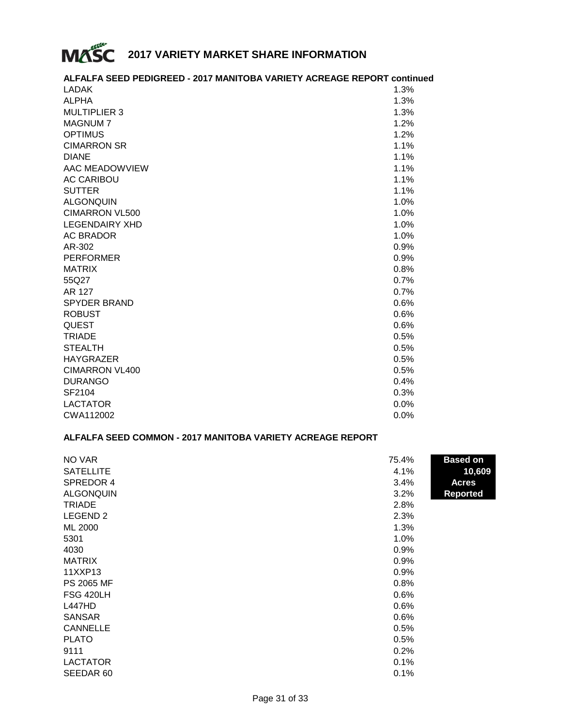

# **ALFALFA SEED PEDIGREED - 2017 MANITOBA VARIETY ACREAGE REPORT continued**

| <b>LADAK</b>          | $1.3\%$ |
|-----------------------|---------|
| ALPHA                 | 1.3%    |
| <b>MULTIPLIER 3</b>   | 1.3%    |
| <b>MAGNUM7</b>        | 1.2%    |
| <b>OPTIMUS</b>        | 1.2%    |
| <b>CIMARRON SR</b>    | 1.1%    |
| <b>DIANE</b>          | 1.1%    |
| AAC MEADOWVIEW        | 1.1%    |
| <b>AC CARIBOU</b>     | 1.1%    |
| <b>SUTTER</b>         | 1.1%    |
| <b>ALGONQUIN</b>      | 1.0%    |
| <b>CIMARRON VL500</b> | 1.0%    |
| <b>LEGENDAIRY XHD</b> | 1.0%    |
| AC BRADOR             | 1.0%    |
| AR-302                | 0.9%    |
| <b>PERFORMER</b>      | 0.9%    |
| <b>MATRIX</b>         | 0.8%    |
| 55Q27                 | 0.7%    |
| AR 127                | 0.7%    |
| <b>SPYDER BRAND</b>   | 0.6%    |
| <b>ROBUST</b>         | 0.6%    |
| <b>QUEST</b>          | 0.6%    |
| <b>TRIADE</b>         | 0.5%    |
| <b>STEALTH</b>        | 0.5%    |
| <b>HAYGRAZER</b>      | 0.5%    |
| <b>CIMARRON VL400</b> | 0.5%    |
| <b>DURANGO</b>        | 0.4%    |
| SF2104                | 0.3%    |
| <b>LACTATOR</b>       | 0.0%    |
| CWA112002             | $0.0\%$ |

# **ALFALFA SEED COMMON - 2017 MANITOBA VARIETY ACREAGE REPORT**

| NO VAR              | 75.4% | <b>Based on</b> |
|---------------------|-------|-----------------|
| <b>SATELLITE</b>    | 4.1%  | 10,609          |
| SPREDOR 4           | 3.4%  | <b>Acres</b>    |
| <b>ALGONQUIN</b>    | 3.2%  | <b>Reported</b> |
| <b>TRIADE</b>       | 2.8%  |                 |
| LEGEND <sub>2</sub> | 2.3%  |                 |
| ML 2000             | 1.3%  |                 |
| 5301                | 1.0%  |                 |
| 4030                | 0.9%  |                 |
| <b>MATRIX</b>       | 0.9%  |                 |
| 11XXP13             | 0.9%  |                 |
| PS 2065 MF          | 0.8%  |                 |
| FSG 420LH           | 0.6%  |                 |
| <b>L447HD</b>       | 0.6%  |                 |
| <b>SANSAR</b>       | 0.6%  |                 |
| <b>CANNELLE</b>     | 0.5%  |                 |
| <b>PLATO</b>        | 0.5%  |                 |
| 9111                | 0.2%  |                 |
| <b>LACTATOR</b>     | 0.1%  |                 |
| SEEDAR 60           | 0.1%  |                 |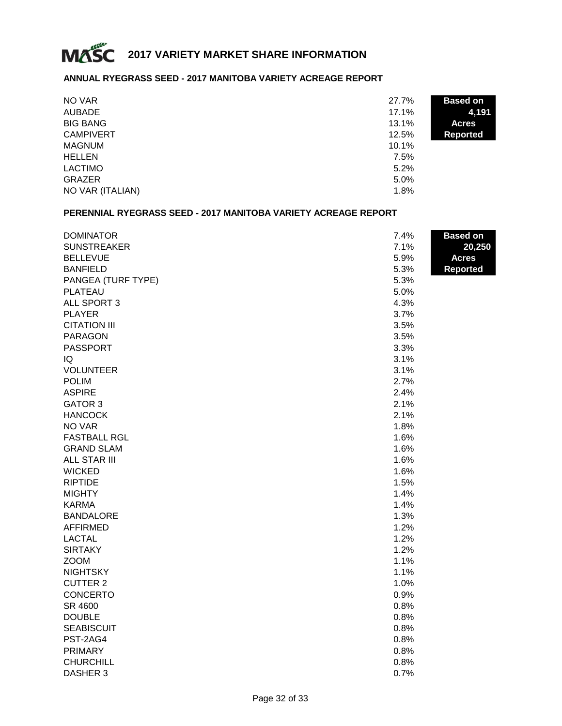

# **ANNUAL RYEGRASS SEED - 2017 MANITOBA VARIETY ACREAGE REPORT**

| NO VAR           | 27.7% | <b>Based on</b> |
|------------------|-------|-----------------|
| <b>AUBADE</b>    | 17.1% | 4,191           |
| <b>BIG BANG</b>  | 13.1% | <b>Acres</b>    |
| <b>CAMPIVERT</b> | 12.5% | <b>Reported</b> |
| <b>MAGNUM</b>    | 10.1% |                 |
| <b>HELLEN</b>    | 7.5%  |                 |
| <b>LACTIMO</b>   | 5.2%  |                 |
| <b>GRAZER</b>    | 5.0%  |                 |
| NO VAR (ITALIAN) | 1.8%  |                 |

### **PERENNIAL RYEGRASS SEED - 2017 MANITOBA VARIETY ACREAGE REPORT**

| <b>DOMINATOR</b>    | 7.4% | <b>Based on</b> |
|---------------------|------|-----------------|
| <b>SUNSTREAKER</b>  | 7.1% | 20,250          |
| <b>BELLEVUE</b>     | 5.9% | <b>Acres</b>    |
| <b>BANFIELD</b>     | 5.3% | <b>Reported</b> |
| PANGEA (TURF TYPE)  | 5.3% |                 |
| <b>PLATEAU</b>      | 5.0% |                 |
| ALL SPORT 3         | 4.3% |                 |
| <b>PLAYER</b>       | 3.7% |                 |
| <b>CITATION III</b> | 3.5% |                 |
| <b>PARAGON</b>      | 3.5% |                 |
| <b>PASSPORT</b>     | 3.3% |                 |
| IQ                  | 3.1% |                 |
| <b>VOLUNTEER</b>    | 3.1% |                 |
| <b>POLIM</b>        | 2.7% |                 |
| <b>ASPIRE</b>       | 2.4% |                 |
| <b>GATOR 3</b>      | 2.1% |                 |
| <b>HANCOCK</b>      | 2.1% |                 |
| NO VAR              | 1.8% |                 |
| <b>FASTBALL RGL</b> | 1.6% |                 |
| <b>GRAND SLAM</b>   | 1.6% |                 |
| <b>ALL STAR III</b> | 1.6% |                 |
| <b>WICKED</b>       | 1.6% |                 |
| <b>RIPTIDE</b>      | 1.5% |                 |
| <b>MIGHTY</b>       | 1.4% |                 |
| <b>KARMA</b>        | 1.4% |                 |
| <b>BANDALORE</b>    | 1.3% |                 |
| <b>AFFIRMED</b>     | 1.2% |                 |
| <b>LACTAL</b>       | 1.2% |                 |
| <b>SIRTAKY</b>      | 1.2% |                 |
| <b>ZOOM</b>         | 1.1% |                 |
| <b>NIGHTSKY</b>     | 1.1% |                 |
| <b>CUTTER 2</b>     | 1.0% |                 |
| <b>CONCERTO</b>     | 0.9% |                 |
| SR 4600             | 0.8% |                 |
| <b>DOUBLE</b>       | 0.8% |                 |
| <b>SEABISCUIT</b>   | 0.8% |                 |
| PST-2AG4            | 0.8% |                 |
| <b>PRIMARY</b>      | 0.8% |                 |
| <b>CHURCHILL</b>    | 0.8% |                 |
| DASHER 3            | 0.7% |                 |